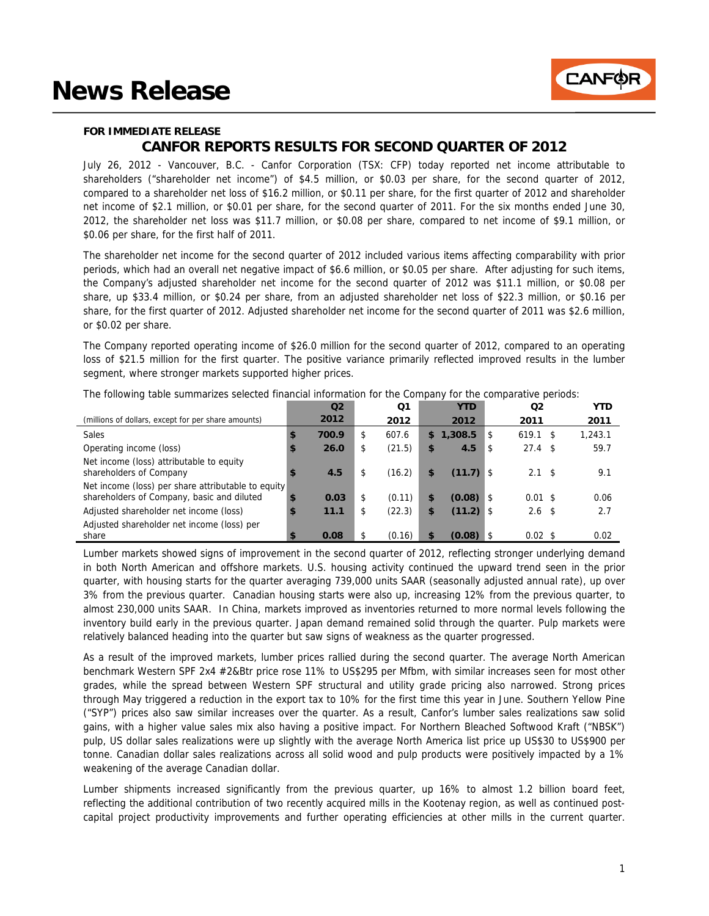

# **FOR IMMEDIATE RELEASE**

# **CANFOR REPORTS RESULTS FOR SECOND QUARTER OF 2012**

July 26, 2012 - Vancouver, B.C. - Canfor Corporation (TSX: CFP) today reported net income attributable to shareholders ("shareholder net income") of \$4.5 million, or \$0.03 per share, for the second quarter of 2012, compared to a shareholder net loss of \$16.2 million, or \$0.11 per share, for the first quarter of 2012 and shareholder net income of \$2.1 million, or \$0.01 per share, for the second quarter of 2011. For the six months ended June 30, 2012, the shareholder net loss was \$11.7 million, or \$0.08 per share, compared to net income of \$9.1 million, or \$0.06 per share, for the first half of 2011.

The shareholder net income for the second quarter of 2012 included various items affecting comparability with prior periods, which had an overall net negative impact of \$6.6 million, or \$0.05 per share. After adjusting for such items, the Company's adjusted shareholder net income for the second quarter of 2012 was \$11.1 million, or \$0.08 per share, up \$33.4 million, or \$0.24 per share, from an adjusted shareholder net loss of \$22.3 million, or \$0.16 per share, for the first quarter of 2012. Adjusted shareholder net income for the second quarter of 2011 was \$2.6 million, or \$0.02 per share.

The Company reported operating income of \$26.0 million for the second quarter of 2012, compared to an operating loss of \$21.5 million for the first quarter. The positive variance primarily reflected improved results in the lumber segment, where stronger markets supported higher prices.

| The following table summarizes selected financial information for the Company for the comparative periods: |  |  |
|------------------------------------------------------------------------------------------------------------|--|--|
|                                                                                                            |  |  |

|                                                                                                  | Q <sub>2</sub> | Q1           |     | <b>YTD</b>  |   | Q <sub>2</sub>     | <b>YTD</b> |
|--------------------------------------------------------------------------------------------------|----------------|--------------|-----|-------------|---|--------------------|------------|
| (millions of dollars, except for per share amounts)                                              | 2012           | 2012         |     | 2012        |   | 2011               | 2011       |
| <b>Sales</b>                                                                                     | 700.9          | \$<br>607.6  |     | \$1,308.5   | S | $619.1$ \$         | 1,243.1    |
| Operating income (loss)                                                                          | 26.0           | \$<br>(21.5) | \$  | 4.5         |   | $27.4$ \$          | 59.7       |
| Net income (loss) attributable to equity<br>shareholders of Company                              | 4.5            | \$<br>(16.2) | \$. | $(11.7)$ \$ |   | $2.1 \text{ }$ \$  | 9.1        |
| Net income (loss) per share attributable to equity<br>shareholders of Company, basic and diluted | \$<br>0.03     | \$<br>(0.11) |     | $(0.08)$ \$ |   | $0.01$ \$          | 0.06       |
| Adjusted shareholder net income (loss)                                                           | 11.1           | \$<br>(22.3) |     | $(11.2)$ \$ |   | $2.6$ \$           | 2.7        |
| Adjusted shareholder net income (loss) per                                                       |                |              |     |             |   |                    |            |
| share                                                                                            | 0.08           | (0.16)       |     | $(0.08)$ \$ |   | $0.02 \text{ }$ \$ | 0.02       |

Lumber markets showed signs of improvement in the second quarter of 2012, reflecting stronger underlying demand in both North American and offshore markets. U.S. housing activity continued the upward trend seen in the prior quarter, with housing starts for the quarter averaging 739,000 units SAAR (seasonally adjusted annual rate), up over 3% from the previous quarter. Canadian housing starts were also up, increasing 12% from the previous quarter, to almost 230,000 units SAAR. In China, markets improved as inventories returned to more normal levels following the inventory build early in the previous quarter. Japan demand remained solid through the quarter. Pulp markets were relatively balanced heading into the quarter but saw signs of weakness as the quarter progressed.

As a result of the improved markets, lumber prices rallied during the second quarter. The average North American benchmark Western SPF 2x4 #2&Btr price rose 11% to US\$295 per Mfbm, with similar increases seen for most other grades, while the spread between Western SPF structural and utility grade pricing also narrowed. Strong prices through May triggered a reduction in the export tax to 10% for the first time this year in June. Southern Yellow Pine ("SYP") prices also saw similar increases over the quarter. As a result, Canfor's lumber sales realizations saw solid gains, with a higher value sales mix also having a positive impact. For Northern Bleached Softwood Kraft ("NBSK") pulp, US dollar sales realizations were up slightly with the average North America list price up US\$30 to US\$900 per tonne. Canadian dollar sales realizations across all solid wood and pulp products were positively impacted by a 1% weakening of the average Canadian dollar.

Lumber shipments increased significantly from the previous quarter, up 16% to almost 1.2 billion board feet, reflecting the additional contribution of two recently acquired mills in the Kootenay region, as well as continued postcapital project productivity improvements and further operating efficiencies at other mills in the current quarter.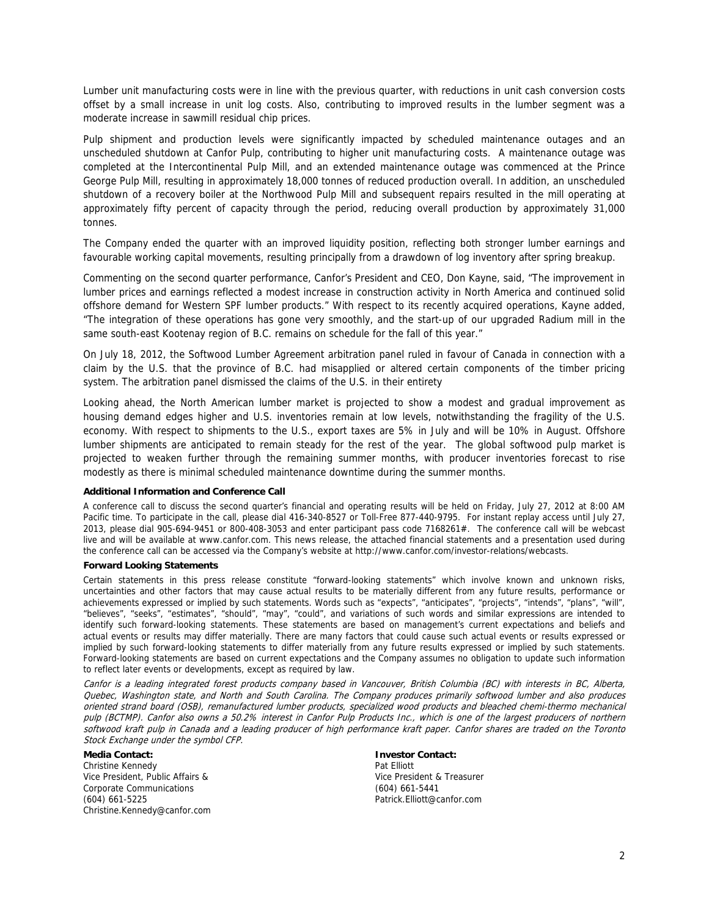Lumber unit manufacturing costs were in line with the previous quarter, with reductions in unit cash conversion costs offset by a small increase in unit log costs. Also, contributing to improved results in the lumber segment was a moderate increase in sawmill residual chip prices.

Pulp shipment and production levels were significantly impacted by scheduled maintenance outages and an unscheduled shutdown at Canfor Pulp, contributing to higher unit manufacturing costs. A maintenance outage was completed at the Intercontinental Pulp Mill, and an extended maintenance outage was commenced at the Prince George Pulp Mill, resulting in approximately 18,000 tonnes of reduced production overall. In addition, an unscheduled shutdown of a recovery boiler at the Northwood Pulp Mill and subsequent repairs resulted in the mill operating at approximately fifty percent of capacity through the period, reducing overall production by approximately 31,000 tonnes.

The Company ended the quarter with an improved liquidity position, reflecting both stronger lumber earnings and favourable working capital movements, resulting principally from a drawdown of log inventory after spring breakup.

Commenting on the second quarter performance, Canfor's President and CEO, Don Kayne, said, "The improvement in lumber prices and earnings reflected a modest increase in construction activity in North America and continued solid offshore demand for Western SPF lumber products." With respect to its recently acquired operations, Kayne added, "The integration of these operations has gone very smoothly, and the start-up of our upgraded Radium mill in the same south-east Kootenay region of B.C. remains on schedule for the fall of this year."

On July 18, 2012, the Softwood Lumber Agreement arbitration panel ruled in favour of Canada in connection with a claim by the U.S. that the province of B.C. had misapplied or altered certain components of the timber pricing system. The arbitration panel dismissed the claims of the U.S. in their entirety

Looking ahead, the North American lumber market is projected to show a modest and gradual improvement as housing demand edges higher and U.S. inventories remain at low levels, notwithstanding the fragility of the U.S. economy. With respect to shipments to the U.S., export taxes are 5% in July and will be 10% in August. Offshore lumber shipments are anticipated to remain steady for the rest of the year. The global softwood pulp market is projected to weaken further through the remaining summer months, with producer inventories forecast to rise modestly as there is minimal scheduled maintenance downtime during the summer months.

#### **Additional Information and Conference Call**

A conference call to discuss the second quarter's financial and operating results will be held on Friday, July 27, 2012 at 8:00 AM Pacific time. To participate in the call, please dial 416-340-8527 or Toll-Free 877-440-9795. For instant replay access until July 27, 2013, please dial 905-694-9451 or 800-408-3053 and enter participant pass code 7168261#. The conference call will be webcast live and will be available at www.canfor.com. This news release, the attached financial statements and a presentation used during the conference call can be accessed via the Company's website at http://www.canfor.com/investor-relations/webcasts.

#### **Forward Looking Statements**

Certain statements in this press release constitute "forward-looking statements" which involve known and unknown risks, uncertainties and other factors that may cause actual results to be materially different from any future results, performance or achievements expressed or implied by such statements. Words such as "expects", "anticipates", "projects", "intends", "plans", "will", "believes", "seeks", "estimates", "should", "may", "could", and variations of such words and similar expressions are intended to identify such forward-looking statements. These statements are based on management's current expectations and beliefs and actual events or results may differ materially. There are many factors that could cause such actual events or results expressed or implied by such forward-looking statements to differ materially from any future results expressed or implied by such statements. Forward-looking statements are based on current expectations and the Company assumes no obligation to update such information to reflect later events or developments, except as required by law.

Canfor is a leading integrated forest products company based in Vancouver, British Columbia (BC) with interests in BC, Alberta, Quebec, Washington state, and North and South Carolina. The Company produces primarily softwood lumber and also produces oriented strand board (OSB), remanufactured lumber products, specialized wood products and bleached chemi-thermo mechanical pulp (BCTMP). Canfor also owns a 50.2% interest in Canfor Pulp Products Inc., which is one of the largest producers of northern softwood kraft pulp in Canada and a leading producer of high performance kraft paper. Canfor shares are traded on the Toronto Stock Exchange under the symbol CFP.

Christine Kennedy<br>
Vice President, Public Affairs & Nice President & Treasurer<br>
Vice President, Public Affairs & Nice President & Treasurer Vice President, Public Affairs & Corporate Communications (604) 661-5441 (604) 661-5225 Patrick.Elliott@canfor.com Christine.Kennedy@canfor.com

**Media Contact: Investor Contact:**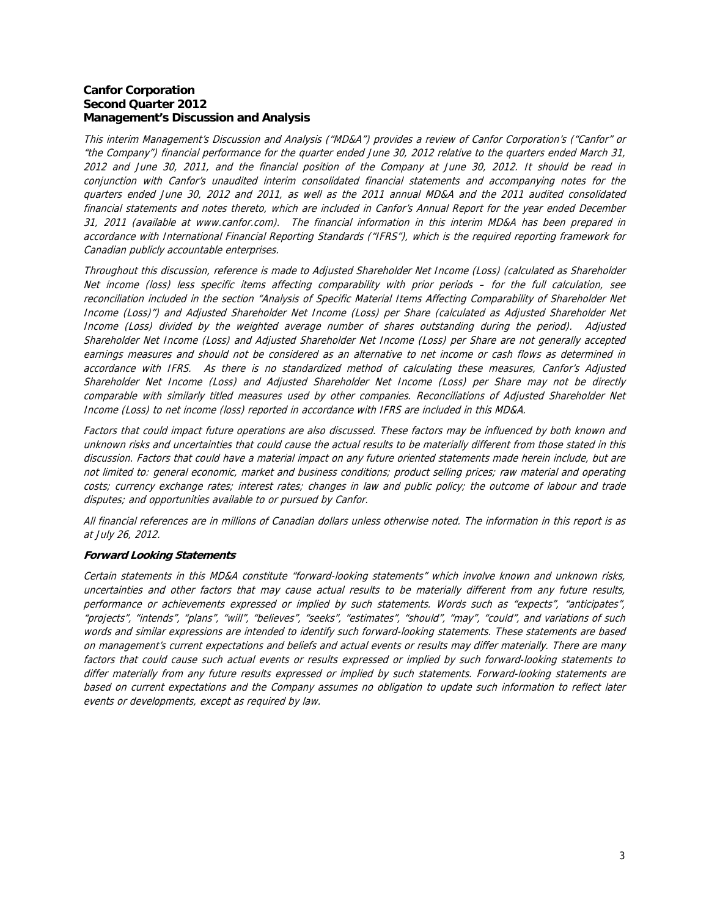# **Canfor Corporation Second Quarter 2012 Management's Discussion and Analysis**

This interim Management's Discussion and Analysis ("MD&A") provides a review of Canfor Corporation's ("Canfor" or "the Company") financial performance for the quarter ended June 30, 2012 relative to the quarters ended March 31, 2012 and June 30, 2011, and the financial position of the Company at June 30, 2012. It should be read in conjunction with Canfor's unaudited interim consolidated financial statements and accompanying notes for the quarters ended June 30, 2012 and 2011, as well as the 2011 annual MD&A and the 2011 audited consolidated financial statements and notes thereto, which are included in Canfor's Annual Report for the year ended December 31, 2011 (available at www.canfor.com). The financial information in this interim MD&A has been prepared in accordance with International Financial Reporting Standards ("IFRS"), which is the required reporting framework for Canadian publicly accountable enterprises.

Throughout this discussion, reference is made to Adjusted Shareholder Net Income (Loss) (calculated as Shareholder Net income (loss) less specific items affecting comparability with prior periods – for the full calculation, see reconciliation included in the section "Analysis of Specific Material Items Affecting Comparability of Shareholder Net Income (Loss)") and Adjusted Shareholder Net Income (Loss) per Share (calculated as Adjusted Shareholder Net Income (Loss) divided by the weighted average number of shares outstanding during the period). Adjusted Shareholder Net Income (Loss) and Adjusted Shareholder Net Income (Loss) per Share are not generally accepted earnings measures and should not be considered as an alternative to net income or cash flows as determined in accordance with IFRS. As there is no standardized method of calculating these measures, Canfor's Adjusted Shareholder Net Income (Loss) and Adjusted Shareholder Net Income (Loss) per Share may not be directly comparable with similarly titled measures used by other companies. Reconciliations of Adjusted Shareholder Net Income (Loss) to net income (loss) reported in accordance with IFRS are included in this MD&A.

Factors that could impact future operations are also discussed. These factors may be influenced by both known and unknown risks and uncertainties that could cause the actual results to be materially different from those stated in this discussion. Factors that could have a material impact on any future oriented statements made herein include, but are not limited to: general economic, market and business conditions; product selling prices; raw material and operating costs; currency exchange rates; interest rates; changes in law and public policy; the outcome of labour and trade disputes; and opportunities available to or pursued by Canfor.

All financial references are in millions of Canadian dollars unless otherwise noted. The information in this report is as at July 26, 2012.

# **Forward Looking Statements**

Certain statements in this MD&A constitute "forward-looking statements" which involve known and unknown risks, uncertainties and other factors that may cause actual results to be materially different from any future results, performance or achievements expressed or implied by such statements. Words such as "expects", "anticipates", "projects", "intends", "plans", "will", "believes", "seeks", "estimates", "should", "may", "could", and variations of such words and similar expressions are intended to identify such forward-looking statements. These statements are based on management's current expectations and beliefs and actual events or results may differ materially. There are many factors that could cause such actual events or results expressed or implied by such forward-looking statements to differ materially from any future results expressed or implied by such statements. Forward-looking statements are based on current expectations and the Company assumes no obligation to update such information to reflect later events or developments, except as required by law.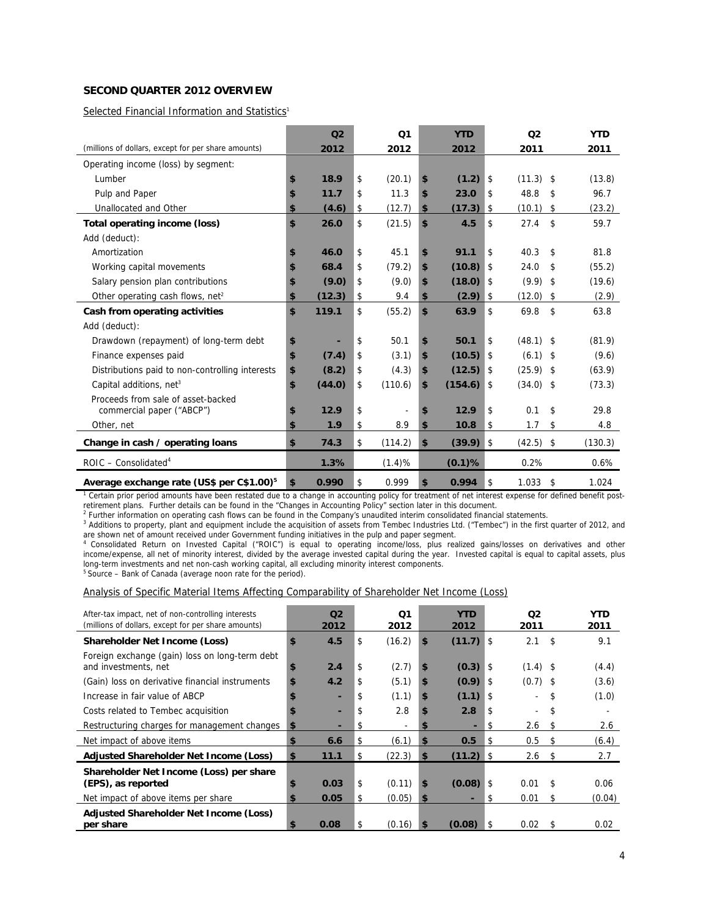# **SECOND QUARTER 2012 OVERVIEW**

## Selected Financial Information and Statistics<sup>1</sup>

|                                                       | Q <sub>2</sub> | Q <sub>1</sub> | <b>YTD</b>    | Q <sub>2</sub>    |     | <b>YTD</b> |
|-------------------------------------------------------|----------------|----------------|---------------|-------------------|-----|------------|
| (millions of dollars, except for per share amounts)   | 2012           | 2012           | 2012          | 2011              |     | 2011       |
| Operating income (loss) by segment:                   |                |                |               |                   |     |            |
| Lumber                                                | \$<br>18.9     | \$<br>(20.1)   | \$<br>(1.2)   | \$<br>$(11.3)$ \$ |     | (13.8)     |
| Pulp and Paper                                        | \$<br>11.7     | \$<br>11.3     | \$<br>23.0    | \$<br>48.8        | \$  | 96.7       |
| Unallocated and Other                                 | \$<br>(4.6)    | \$<br>(12.7)   | \$<br>(17.3)  | \$<br>(10.1)      | -\$ | (23.2)     |
| <b>Total operating income (loss)</b>                  | \$<br>26.0     | \$<br>(21.5)   | \$<br>4.5     | \$<br>27.4        | \$  | 59.7       |
| Add (deduct):                                         |                |                |               |                   |     |            |
| Amortization                                          | \$<br>46.0     | \$<br>45.1     | \$<br>91.1    | \$<br>40.3        | \$  | 81.8       |
| Working capital movements                             | \$<br>68.4     | \$<br>(79.2)   | \$<br>(10.8)  | \$<br>24.0        | \$  | (55.2)     |
| Salary pension plan contributions                     | \$<br>(9.0)    | \$<br>(9.0)    | \$<br>(18.0)  | \$<br>(9.9)       | -\$ | (19.6)     |
| Other operating cash flows, net <sup>2</sup>          | \$<br>(12.3)   | \$<br>9.4      | \$<br>(2.9)   | \$<br>(12.0)      | -\$ | (2.9)      |
| Cash from operating activities                        | \$<br>119.1    | \$<br>(55.2)   | \$<br>63.9    | \$<br>69.8        | \$  | 63.8       |
| Add (deduct):                                         |                |                |               |                   |     |            |
| Drawdown (repayment) of long-term debt                | \$             | \$<br>50.1     | \$<br>50.1    | \$<br>$(48.1)$ \$ |     | (81.9)     |
| Finance expenses paid                                 | \$<br>(7.4)    | \$<br>(3.1)    | \$<br>(10.5)  | \$<br>$(6.1)$ \$  |     | (9.6)      |
| Distributions paid to non-controlling interests       | \$<br>(8.2)    | \$<br>(4.3)    | \$<br>(12.5)  | \$<br>$(25.9)$ \$ |     | (63.9)     |
| Capital additions, net <sup>3</sup>                   | \$<br>(44.0)   | \$<br>(110.6)  | \$<br>(154.6) | \$<br>$(34.0)$ \$ |     | (73.3)     |
| Proceeds from sale of asset-backed                    |                |                |               |                   |     |            |
| commercial paper ("ABCP")                             | \$<br>12.9     | \$             | \$<br>12.9    | \$<br>0.1         | \$  | 29.8       |
| Other, net                                            | \$<br>1.9      | \$<br>8.9      | \$<br>10.8    | \$<br>1.7         | \$  | 4.8        |
| Change in cash / operating loans                      | \$<br>74.3     | \$<br>(114.2)  | \$<br>(39.9)  | \$<br>$(42.5)$ \$ |     | (130.3)    |
| $ROIC$ – Consolidated <sup>4</sup>                    | 1.3%           | (1.4)%         | $(0.1)$ %     | 0.2%              |     | 0.6%       |
| Average exchange rate (US\$ per C\$1.00) <sup>5</sup> | \$<br>0.990    | \$<br>0.999    | \$<br>0.994   | \$<br>1.033       | -\$ | 1.024      |

<sup>1</sup> Certain prior period amounts have been restated due to a change in accounting policy for treatment of net interest expense for defined benefit postretirement plans. Further details can be found in the "Changes in Accounting Policy" section later in this document.<br><sup>2</sup> Eurther information on operating sech flows can be found in the Company's unqualited interim consolid

 $^2$  Further information on operating cash flows can be found in the Company's unaudited interim consolidated financial statements.<br><sup>3</sup> Additions to property, plant and equipment include the acquisition of assets from Tem

<sup>3</sup> Additions to property, plant and equipment include the acquisition of assets from Tembec Industries Ltd. ("Tembec") in the first quarter of 2012, and are shown net of amount received under Government funding initiatives in the pulp and paper segment.<br><sup>4</sup> Consolidated Return on Invested Capital ("ROIC") is equal to operating income/loss, plus realized gains/losses on der

income/expense, all net of minority interest, divided by the average invested capital during the year. Invested capital is equal to capital assets, plus long-term investments and net non-cash working capital, all excluding minority interest components.<br><sup>5</sup> Source – Bank of Canada (average noon rate for the period).

Analysis of Specific Material Items Affecting Comparability of Shareholder Net Income (Loss)

| After-tax impact, net of non-controlling interests<br>(millions of dollars, except for per share amounts) |    | Q <sub>2</sub><br>2012 | Q1<br>2012                     |               | <b>YTD</b><br>2012 |      | Q <sub>2</sub><br>2011 |     | <b>YTD</b><br>2011 |
|-----------------------------------------------------------------------------------------------------------|----|------------------------|--------------------------------|---------------|--------------------|------|------------------------|-----|--------------------|
| Shareholder Net Income (Loss)                                                                             | \$ | 4.5                    | \$<br>(16.2)                   | \$            | (11.7)             | \$   | 2.1                    | \$  | 9.1                |
| Foreign exchange (gain) loss on long-term debt<br>and investments, net                                    | \$ | 2.4                    | \$<br>(2.7)                    | <sup>\$</sup> | (0.3)              | -\$  | $(1.4)$ \$             |     | (4.4)              |
| (Gain) loss on derivative financial instruments                                                           | \$ | 4.2                    | \$<br>(5.1)                    | \$            | (0.9)              | -\$  | $(0.7)$ \$             |     | (3.6)              |
| Increase in fair value of ABCP                                                                            | \$ | -                      | \$<br>(1.1)                    | \$            | (1.1)              | \$   |                        | \$  | (1.0)              |
| Costs related to Tembec acquisition                                                                       | \$ | -                      | \$<br>2.8                      | \$            | 2.8                | S    | ٠                      | \$  |                    |
| Restructuring charges for management changes                                                              | \$ | -                      | \$<br>$\overline{\phantom{a}}$ | S             |                    | \$   | 2.6                    | \$  | 2.6                |
| Net impact of above items                                                                                 | \$ | 6.6                    | \$<br>(6.1)                    | \$            | 0.5                | s.   | 0.5                    | \$  | (6.4)              |
| Adjusted Shareholder Net Income (Loss)                                                                    | \$ | 11.1                   | \$<br>(22.3)                   | \$            | $(11.2)$ \$        |      | 2.6                    | \$  | 2.7                |
| Shareholder Net Income (Loss) per share                                                                   |    |                        |                                |               |                    |      |                        |     |                    |
| (EPS), as reported                                                                                        | \$ | 0.03                   | \$<br>(0.11)                   | \$            | (0.08)             | l \$ | 0.01                   | \$  | 0.06               |
| Net impact of above items per share                                                                       | \$ | 0.05                   | \$<br>(0.05)                   | \$            |                    | S.   | 0.01                   | \$  | (0.04)             |
| Adjusted Shareholder Net Income (Loss)<br>per share                                                       | S  | 0.08                   | (0.16)                         | <b>S</b>      | (0.08)             | -S   | 0.02                   | \$. | 0.02               |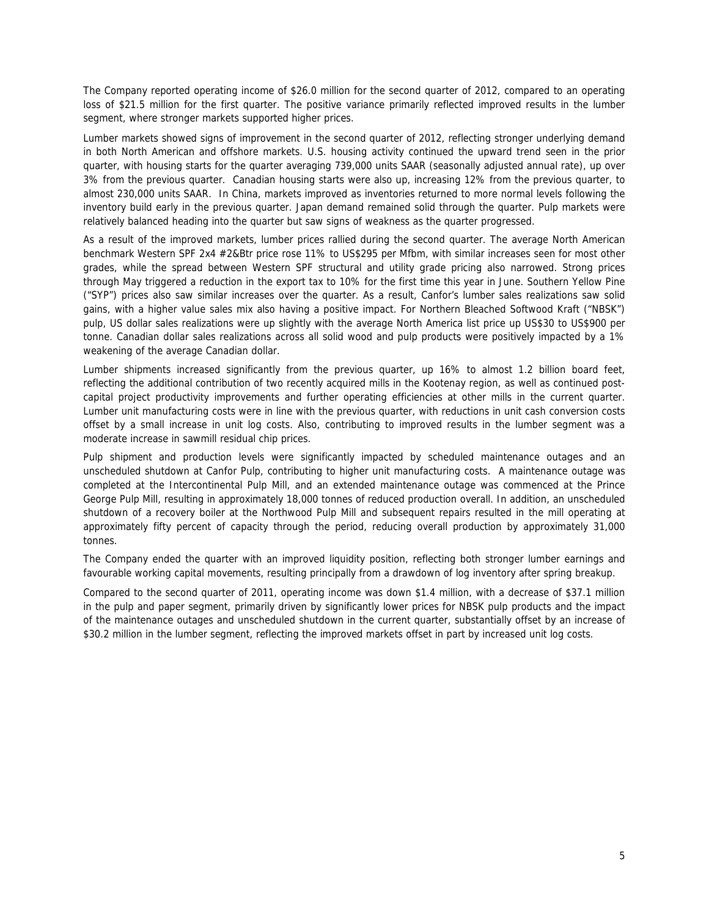The Company reported operating income of \$26.0 million for the second quarter of 2012, compared to an operating loss of \$21.5 million for the first quarter. The positive variance primarily reflected improved results in the lumber segment, where stronger markets supported higher prices.

Lumber markets showed signs of improvement in the second quarter of 2012, reflecting stronger underlying demand in both North American and offshore markets. U.S. housing activity continued the upward trend seen in the prior quarter, with housing starts for the quarter averaging 739,000 units SAAR (seasonally adjusted annual rate), up over 3% from the previous quarter. Canadian housing starts were also up, increasing 12% from the previous quarter, to almost 230,000 units SAAR. In China, markets improved as inventories returned to more normal levels following the inventory build early in the previous quarter. Japan demand remained solid through the quarter. Pulp markets were relatively balanced heading into the quarter but saw signs of weakness as the quarter progressed.

As a result of the improved markets, lumber prices rallied during the second quarter. The average North American benchmark Western SPF 2x4 #2&Btr price rose 11% to US\$295 per Mfbm, with similar increases seen for most other grades, while the spread between Western SPF structural and utility grade pricing also narrowed. Strong prices through May triggered a reduction in the export tax to 10% for the first time this year in June. Southern Yellow Pine ("SYP") prices also saw similar increases over the quarter. As a result, Canfor's lumber sales realizations saw solid gains, with a higher value sales mix also having a positive impact. For Northern Bleached Softwood Kraft ("NBSK") pulp, US dollar sales realizations were up slightly with the average North America list price up US\$30 to US\$900 per tonne. Canadian dollar sales realizations across all solid wood and pulp products were positively impacted by a 1% weakening of the average Canadian dollar.

Lumber shipments increased significantly from the previous quarter, up 16% to almost 1.2 billion board feet, reflecting the additional contribution of two recently acquired mills in the Kootenay region, as well as continued postcapital project productivity improvements and further operating efficiencies at other mills in the current quarter. Lumber unit manufacturing costs were in line with the previous quarter, with reductions in unit cash conversion costs offset by a small increase in unit log costs. Also, contributing to improved results in the lumber segment was a moderate increase in sawmill residual chip prices.

Pulp shipment and production levels were significantly impacted by scheduled maintenance outages and an unscheduled shutdown at Canfor Pulp, contributing to higher unit manufacturing costs. A maintenance outage was completed at the Intercontinental Pulp Mill, and an extended maintenance outage was commenced at the Prince George Pulp Mill, resulting in approximately 18,000 tonnes of reduced production overall. In addition, an unscheduled shutdown of a recovery boiler at the Northwood Pulp Mill and subsequent repairs resulted in the mill operating at approximately fifty percent of capacity through the period, reducing overall production by approximately 31,000 tonnes.

The Company ended the quarter with an improved liquidity position, reflecting both stronger lumber earnings and favourable working capital movements, resulting principally from a drawdown of log inventory after spring breakup.

Compared to the second quarter of 2011, operating income was down \$1.4 million, with a decrease of \$37.1 million in the pulp and paper segment, primarily driven by significantly lower prices for NBSK pulp products and the impact of the maintenance outages and unscheduled shutdown in the current quarter, substantially offset by an increase of \$30.2 million in the lumber segment, reflecting the improved markets offset in part by increased unit log costs.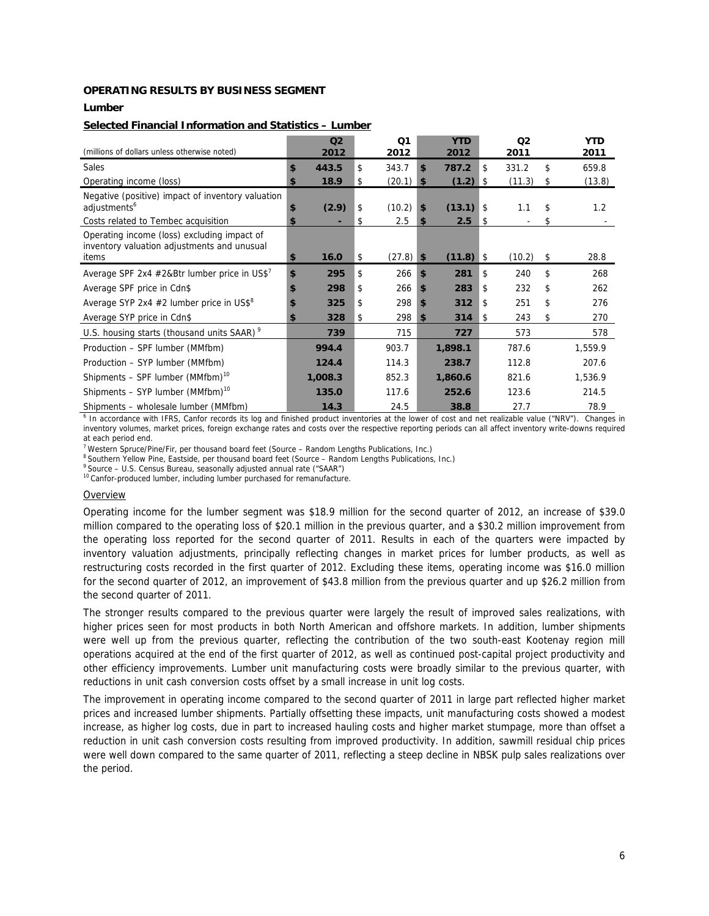# **OPERATING RESULTS BY BUSINESS SEGMENT**

# **Lumber**

#### **Selected Financial Information and Statistics – Lumber**

| (millions of dollars unless otherwise noted)                                               | Q <sub>2</sub><br>2012 |    | Q <sub>1</sub><br>2012 |    | <b>YTD</b><br>2012 |     | Q <sub>2</sub><br>2011 |     | <b>YTD</b><br>2011 |
|--------------------------------------------------------------------------------------------|------------------------|----|------------------------|----|--------------------|-----|------------------------|-----|--------------------|
| Sales                                                                                      | \$<br>443.5            | \$ | 343.7                  | \$ | 787.2              | \$  | 331.2                  | \$  | 659.8              |
| Operating income (loss)                                                                    | 18.9                   | \$ | (20.1)                 | \$ | $(1.2)$ \$         |     | (11.3)                 | \$  | (13.8)             |
| Negative (positive) impact of inventory valuation<br>adjustments <sup>6</sup>              | \$<br>(2.9)            | \$ | (10.2)                 | \$ | $(13.1)$ \$        |     | 1.1                    | \$  | 1.2                |
| Costs related to Tembec acquisition                                                        | \$                     | S  | 2.5                    | \$ | 2.5                | 4\$ |                        | \$. |                    |
| Operating income (loss) excluding impact of<br>inventory valuation adjustments and unusual |                        |    |                        |    |                    |     |                        |     |                    |
| items                                                                                      | \$<br>16.0             | \$ | $(27.8)$ \$            |    | $(11.8)$ \$        |     | (10.2)                 | \$  | 28.8               |
| Average SPF 2x4 #2&Btr lumber price in US\$'                                               | \$<br>295              | \$ | 266                    | \$ | 281                | \$  | 240                    | \$  | 268                |
| Average SPF price in Cdn\$                                                                 | 298                    | \$ | 266                    | S  | 283                | \$  | 232                    | \$  | 262                |
| Average SYP 2x4 $#2$ lumber price in US\$ <sup>8</sup>                                     | 325                    | \$ | 298                    | S  | 312                | \$  | 251                    | \$  | 276                |
| Average SYP price in Cdn\$                                                                 | \$<br>328              | \$ | 298                    | \$ | 314                | -\$ | 243                    | \$  | 270                |
| U.S. housing starts (thousand units SAAR) <sup>9</sup>                                     | 739                    |    | 715                    |    | 727                |     | 573                    |     | 578                |
| Production - SPF lumber (MMfbm)                                                            | 994.4                  |    | 903.7                  |    | 1,898.1            |     | 787.6                  |     | 1,559.9            |
| Production – SYP lumber (MMfbm)                                                            | 124.4                  |    | 114.3                  |    | 238.7              |     | 112.8                  |     | 207.6              |
| Shipments - SPF lumber (MMfbm) <sup>10</sup>                                               | 1,008.3                |    | 852.3                  |    | 1,860.6            |     | 821.6                  |     | 1,536.9            |
| Shipments – SYP lumber $(MMfbm)^{10}$                                                      | 135.0                  |    | 117.6                  |    | 252.6              |     | 123.6                  |     | 214.5              |
| Shipments – wholesale lumber (MMfbm)                                                       | 14.3                   |    | 24.5                   |    | 38.8               |     | 27.7                   |     | 78.9               |

Shipments – wholesale lumber (MMfbm) 14.3 14.3 24.5 38.8 27.7 78.9<br>Fin accordance with IFRS, Canfor records its log and finished product inventories at the lower of cost and net realizable value ("NRV"). Changes in inventory volumes, market prices, foreign exchange rates and costs over the respective reporting periods can all affect inventory write-downs required at each period end.

<sup>7</sup> Western Spruce/Pine/Fir, per thousand board feet (Source – Random Lengths Publications, Inc.) <sup>8</sup> Southern Yellow Pine, Eastside, per thousand board feet (Source – Random Lengths Publications, Inc.) 9 Source – U.S. Cen

<sup>10</sup> Canfor-produced lumber, including lumber purchased for remanufacture.

#### Overview

Operating income for the lumber segment was \$18.9 million for the second quarter of 2012, an increase of \$39.0 million compared to the operating loss of \$20.1 million in the previous quarter, and a \$30.2 million improvement from the operating loss reported for the second quarter of 2011. Results in each of the quarters were impacted by inventory valuation adjustments, principally reflecting changes in market prices for lumber products, as well as restructuring costs recorded in the first quarter of 2012. Excluding these items, operating income was \$16.0 million for the second quarter of 2012, an improvement of \$43.8 million from the previous quarter and up \$26.2 million from the second quarter of 2011.

The stronger results compared to the previous quarter were largely the result of improved sales realizations, with higher prices seen for most products in both North American and offshore markets. In addition, lumber shipments were well up from the previous quarter, reflecting the contribution of the two south-east Kootenay region mill operations acquired at the end of the first quarter of 2012, as well as continued post-capital project productivity and other efficiency improvements. Lumber unit manufacturing costs were broadly similar to the previous quarter, with reductions in unit cash conversion costs offset by a small increase in unit log costs.

The improvement in operating income compared to the second quarter of 2011 in large part reflected higher market prices and increased lumber shipments. Partially offsetting these impacts, unit manufacturing costs showed a modest increase, as higher log costs, due in part to increased hauling costs and higher market stumpage, more than offset a reduction in unit cash conversion costs resulting from improved productivity. In addition, sawmill residual chip prices were well down compared to the same quarter of 2011, reflecting a steep decline in NBSK pulp sales realizations over the period.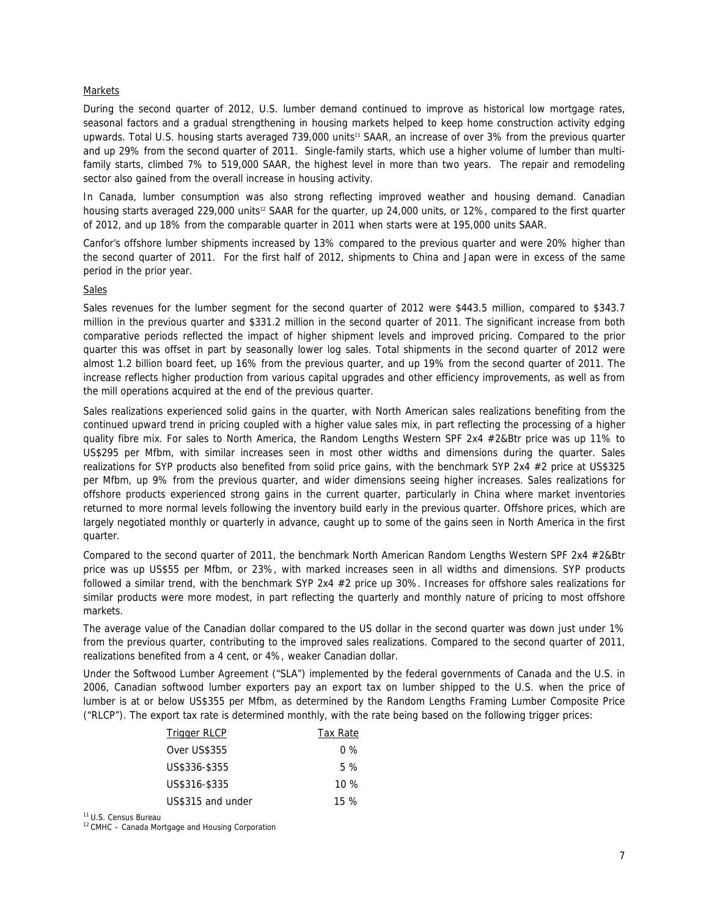#### **Markets**

During the second quarter of 2012, U.S. lumber demand continued to improve as historical low mortgage rates, seasonal factors and a gradual strengthening in housing markets helped to keep home construction activity edging upwards. Total U.S. housing starts averaged 739,000 units<sup>11</sup> SAAR, an increase of over 3% from the previous quarter and up 29% from the second quarter of 2011. Single-family starts, which use a higher volume of lumber than multifamily starts, climbed 7% to 519,000 SAAR, the highest level in more than two years. The repair and remodeling sector also gained from the overall increase in housing activity.

In Canada, lumber consumption was also strong reflecting improved weather and housing demand. Canadian housing starts averaged 229,000 units<sup>12</sup> SAAR for the quarter, up 24,000 units, or 12%, compared to the first quarter of 2012, and up 18% from the comparable quarter in 2011 when starts were at 195,000 units SAAR.

Canfor's offshore lumber shipments increased by 13% compared to the previous quarter and were 20% higher than the second quarter of 2011. For the first half of 2012, shipments to China and Japan were in excess of the same period in the prior year.

#### Sales

Sales revenues for the lumber segment for the second quarter of 2012 were \$443.5 million, compared to \$343.7 million in the previous quarter and \$331.2 million in the second quarter of 2011. The significant increase from both comparative periods reflected the impact of higher shipment levels and improved pricing. Compared to the prior quarter this was offset in part by seasonally lower log sales. Total shipments in the second quarter of 2012 were almost 1.2 billion board feet, up 16% from the previous quarter, and up 19% from the second quarter of 2011. The increase reflects higher production from various capital upgrades and other efficiency improvements, as well as from the mill operations acquired at the end of the previous quarter.

Sales realizations experienced solid gains in the quarter, with North American sales realizations benefiting from the continued upward trend in pricing coupled with a higher value sales mix, in part reflecting the processing of a higher quality fibre mix. For sales to North America, the Random Lengths Western SPF 2x4 #2&Btr price was up 11% to US\$295 per Mfbm, with similar increases seen in most other widths and dimensions during the quarter. Sales realizations for SYP products also benefited from solid price gains, with the benchmark SYP 2x4 #2 price at US\$325 per Mfbm, up 9% from the previous quarter, and wider dimensions seeing higher increases. Sales realizations for offshore products experienced strong gains in the current quarter, particularly in China where market inventories returned to more normal levels following the inventory build early in the previous quarter. Offshore prices, which are largely negotiated monthly or quarterly in advance, caught up to some of the gains seen in North America in the first quarter.

Compared to the second quarter of 2011, the benchmark North American Random Lengths Western SPF 2x4 #2&Btr price was up US\$55 per Mfbm, or 23%, with marked increases seen in all widths and dimensions. SYP products followed a similar trend, with the benchmark SYP 2x4 #2 price up 30%. Increases for offshore sales realizations for similar products were more modest, in part reflecting the quarterly and monthly nature of pricing to most offshore markets.

The average value of the Canadian dollar compared to the US dollar in the second quarter was down just under 1% from the previous quarter, contributing to the improved sales realizations. Compared to the second quarter of 2011, realizations benefited from a 4 cent, or 4%, weaker Canadian dollar.

Under the Softwood Lumber Agreement ("SLA") implemented by the federal governments of Canada and the U.S. in 2006, Canadian softwood lumber exporters pay an export tax on lumber shipped to the U.S. when the price of lumber is at or below US\$355 per Mfbm, as determined by the Random Lengths Framing Lumber Composite Price ("RLCP"). The export tax rate is determined monthly, with the rate being based on the following trigger prices:

| <b>Trigger RLCP</b> | Tax Rate |
|---------------------|----------|
| Over US\$355        | $0\%$    |
| US\$336-\$355       | 5 %      |
| US\$316-\$335       | $10\%$   |
| US\$315 and under   | $15\%$   |

<sup>11</sup> U.S. Census Bureau<br><sup>12</sup> CMHC – Canada Mortgage and Housing Corporation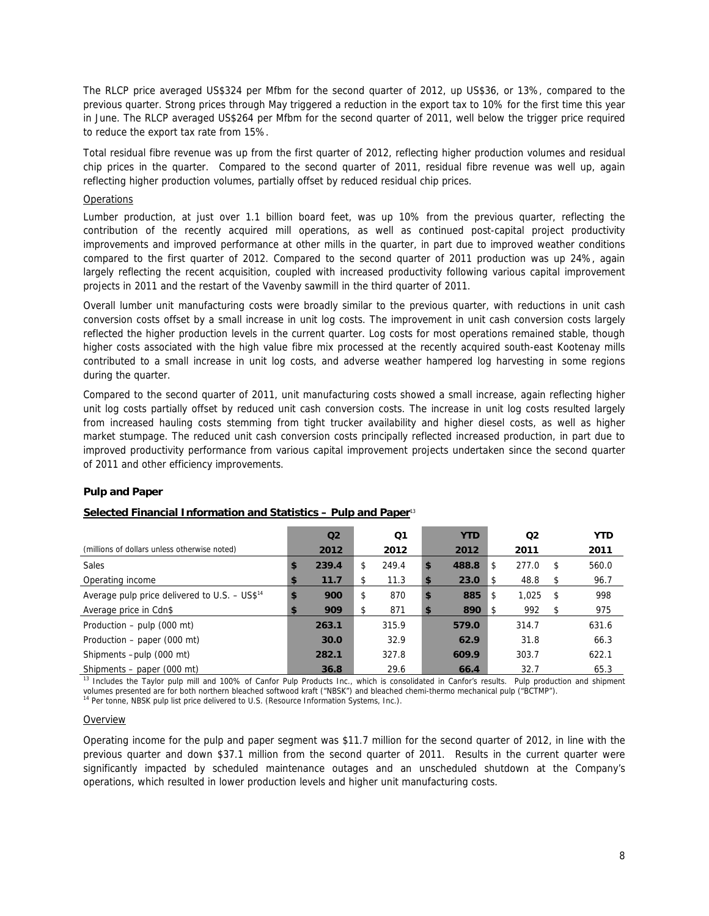The RLCP price averaged US\$324 per Mfbm for the second quarter of 2012, up US\$36, or 13%, compared to the previous quarter. Strong prices through May triggered a reduction in the export tax to 10% for the first time this year in June. The RLCP averaged US\$264 per Mfbm for the second quarter of 2011, well below the trigger price required to reduce the export tax rate from 15%.

Total residual fibre revenue was up from the first quarter of 2012, reflecting higher production volumes and residual chip prices in the quarter. Compared to the second quarter of 2011, residual fibre revenue was well up, again reflecting higher production volumes, partially offset by reduced residual chip prices.

#### **Operations**

Lumber production, at just over 1.1 billion board feet, was up 10% from the previous quarter, reflecting the contribution of the recently acquired mill operations, as well as continued post-capital project productivity improvements and improved performance at other mills in the quarter, in part due to improved weather conditions compared to the first quarter of 2012. Compared to the second quarter of 2011 production was up 24%, again largely reflecting the recent acquisition, coupled with increased productivity following various capital improvement projects in 2011 and the restart of the Vavenby sawmill in the third quarter of 2011.

Overall lumber unit manufacturing costs were broadly similar to the previous quarter, with reductions in unit cash conversion costs offset by a small increase in unit log costs. The improvement in unit cash conversion costs largely reflected the higher production levels in the current quarter. Log costs for most operations remained stable, though higher costs associated with the high value fibre mix processed at the recently acquired south-east Kootenay mills contributed to a small increase in unit log costs, and adverse weather hampered log harvesting in some regions during the quarter.

Compared to the second quarter of 2011, unit manufacturing costs showed a small increase, again reflecting higher unit log costs partially offset by reduced unit cash conversion costs. The increase in unit log costs resulted largely from increased hauling costs stemming from tight trucker availability and higher diesel costs, as well as higher market stumpage. The reduced unit cash conversion costs principally reflected increased production, in part due to improved productivity performance from various capital improvement projects undertaken since the second quarter of 2011 and other efficiency improvements.

#### **Pulp and Paper**

# **Selected Financial Information and Statistics – Pulp and Paper**<sup>13</sup>

|                                                             | Q <sub>2</sub> | Q1          |     | <b>YTD</b> |    | Q <sub>2</sub> |    | <b>YTD</b> |  |  |
|-------------------------------------------------------------|----------------|-------------|-----|------------|----|----------------|----|------------|--|--|
| (millions of dollars unless otherwise noted)                | 2012           | 2012        |     | 2012       |    | 2011           |    | 2011       |  |  |
| <b>Sales</b>                                                | 239.4          | \$<br>249.4 | \$  | 488.8      | \$ | 277.0          | S  | 560.0      |  |  |
| Operating income                                            | 11.7           | \$<br>11.3  | \$  | 23.0       | S  | 48.8           | \$ | 96.7       |  |  |
| Average pulp price delivered to U.S. $-$ US\$ <sup>14</sup> | \$<br>900      | \$<br>870   | \$  | 885        | \$ | 1,025          | S  | 998        |  |  |
| Average price in Cdn\$                                      | 909            | 871         | \$. | 890        |    | 992            | \$ | 975        |  |  |
| Production – pulp $(000 \text{ mt})$                        | 263.1          | 315.9       |     | 579.0      |    | 314.7          |    | 631.6      |  |  |
| Production – paper (000 mt)                                 | 30.0           | 32.9        |     | 62.9       |    | 31.8           |    | 66.3       |  |  |
| Shipments -pulp (000 mt)                                    | 282.1          | 327.8       |     | 609.9      |    | 303.7          |    | 622.1      |  |  |
| Shipments – paper (000 mt)                                  | 36.8           | 29.6        |     | 66.4       |    | 32.7           |    | 65.3       |  |  |

<sup>13</sup> Includes the Taylor pulp mill and 100% of Canfor Pulp Products Inc., which is consolidated in Canfor's results. Pulp production and shipment volumes presented are for both northern bleached softwood kraft ("NBSK") and bleached chemi-thermo mechanical pulp ("BCTMP").<br><sup>14</sup> Per tonne, NBSK pulp list price delivered to U.S. (Resource Information Systems, Inc.).

#### Overview

Operating income for the pulp and paper segment was \$11.7 million for the second quarter of 2012, in line with the previous quarter and down \$37.1 million from the second quarter of 2011. Results in the current quarter were significantly impacted by scheduled maintenance outages and an unscheduled shutdown at the Company's operations, which resulted in lower production levels and higher unit manufacturing costs.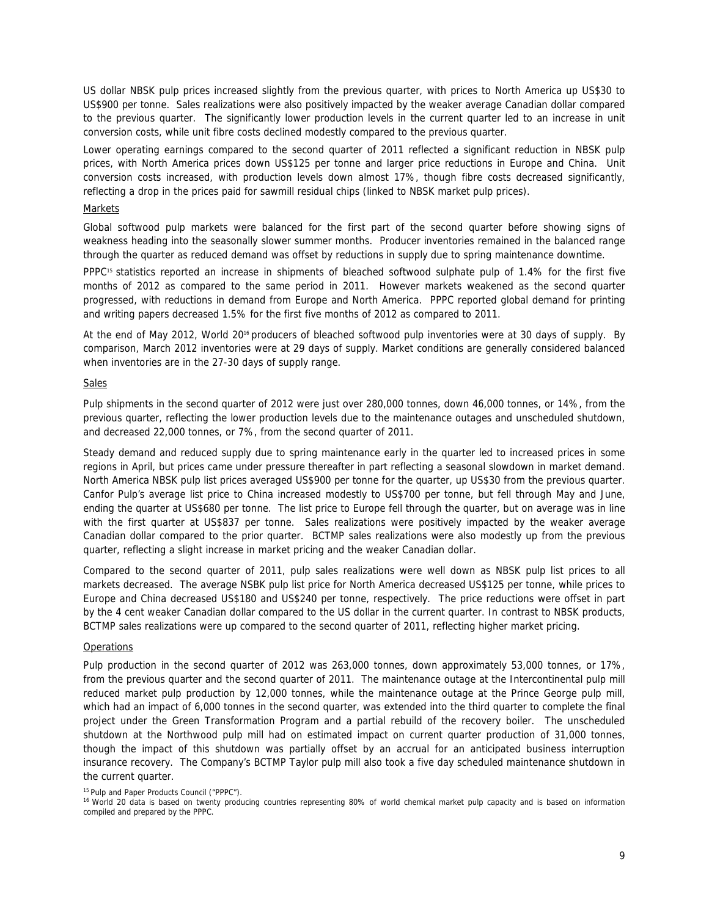US dollar NBSK pulp prices increased slightly from the previous quarter, with prices to North America up US\$30 to US\$900 per tonne. Sales realizations were also positively impacted by the weaker average Canadian dollar compared to the previous quarter. The significantly lower production levels in the current quarter led to an increase in unit conversion costs, while unit fibre costs declined modestly compared to the previous quarter.

Lower operating earnings compared to the second quarter of 2011 reflected a significant reduction in NBSK pulp prices, with North America prices down US\$125 per tonne and larger price reductions in Europe and China. Unit conversion costs increased, with production levels down almost 17%, though fibre costs decreased significantly, reflecting a drop in the prices paid for sawmill residual chips (linked to NBSK market pulp prices).

## **Markets**

Global softwood pulp markets were balanced for the first part of the second quarter before showing signs of weakness heading into the seasonally slower summer months. Producer inventories remained in the balanced range through the quarter as reduced demand was offset by reductions in supply due to spring maintenance downtime.

PPPC<sup>15</sup> statistics reported an increase in shipments of bleached softwood sulphate pulp of 1.4% for the first five months of 2012 as compared to the same period in 2011. However markets weakened as the second quarter progressed, with reductions in demand from Europe and North America. PPPC reported global demand for printing and writing papers decreased 1.5% for the first five months of 2012 as compared to 2011.

At the end of May 2012, World 20<sup>16</sup> producers of bleached softwood pulp inventories were at 30 days of supply. By comparison, March 2012 inventories were at 29 days of supply. Market conditions are generally considered balanced when inventories are in the 27-30 days of supply range.

#### Sales

Pulp shipments in the second quarter of 2012 were just over 280,000 tonnes, down 46,000 tonnes, or 14%, from the previous quarter, reflecting the lower production levels due to the maintenance outages and unscheduled shutdown, and decreased 22,000 tonnes, or 7%, from the second quarter of 2011.

Steady demand and reduced supply due to spring maintenance early in the quarter led to increased prices in some regions in April, but prices came under pressure thereafter in part reflecting a seasonal slowdown in market demand. North America NBSK pulp list prices averaged US\$900 per tonne for the quarter, up US\$30 from the previous quarter. Canfor Pulp's average list price to China increased modestly to US\$700 per tonne, but fell through May and June, ending the quarter at US\$680 per tonne. The list price to Europe fell through the quarter, but on average was in line with the first quarter at US\$837 per tonne. Sales realizations were positively impacted by the weaker average Canadian dollar compared to the prior quarter. BCTMP sales realizations were also modestly up from the previous quarter, reflecting a slight increase in market pricing and the weaker Canadian dollar.

Compared to the second quarter of 2011, pulp sales realizations were well down as NBSK pulp list prices to all markets decreased. The average NSBK pulp list price for North America decreased US\$125 per tonne, while prices to Europe and China decreased US\$180 and US\$240 per tonne, respectively. The price reductions were offset in part by the 4 cent weaker Canadian dollar compared to the US dollar in the current quarter. In contrast to NBSK products, BCTMP sales realizations were up compared to the second quarter of 2011, reflecting higher market pricing.

#### **Operations**

Pulp production in the second quarter of 2012 was 263,000 tonnes, down approximately 53,000 tonnes, or 17%, from the previous quarter and the second quarter of 2011. The maintenance outage at the Intercontinental pulp mill reduced market pulp production by 12,000 tonnes, while the maintenance outage at the Prince George pulp mill, which had an impact of 6,000 tonnes in the second quarter, was extended into the third quarter to complete the final project under the Green Transformation Program and a partial rebuild of the recovery boiler. The unscheduled shutdown at the Northwood pulp mill had on estimated impact on current quarter production of 31,000 tonnes, though the impact of this shutdown was partially offset by an accrual for an anticipated business interruption insurance recovery. The Company's BCTMP Taylor pulp mill also took a five day scheduled maintenance shutdown in the current quarter.

<sup>15</sup> Pulp and Paper Products Council ("PPPC").

<sup>&</sup>lt;sup>16</sup> World 20 data is based on twenty producing countries representing 80% of world chemical market pulp capacity and is based on information compiled and prepared by the PPPC.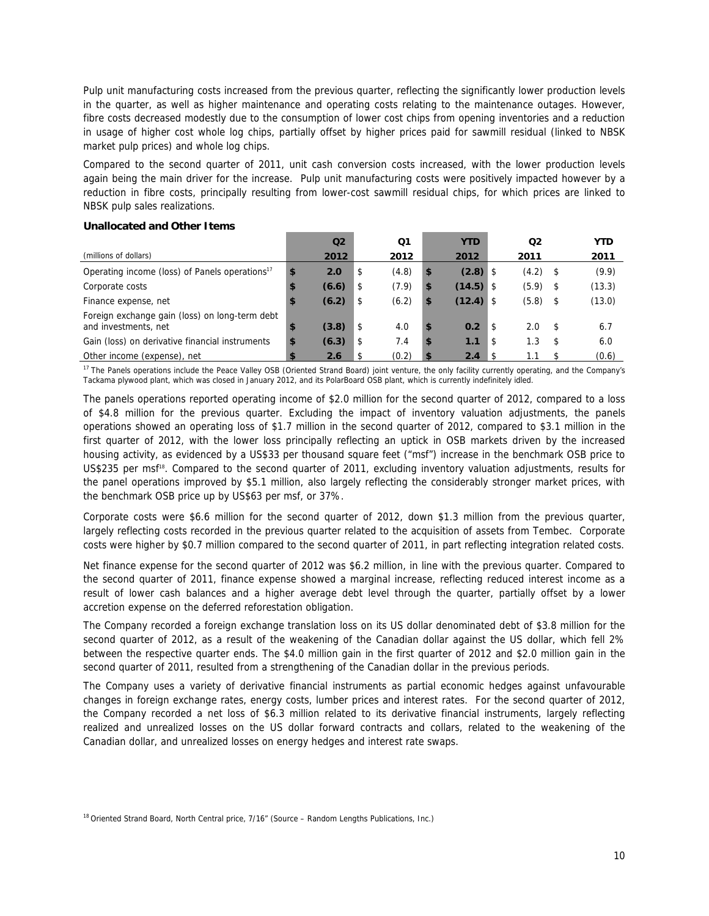Pulp unit manufacturing costs increased from the previous quarter, reflecting the significantly lower production levels in the quarter, as well as higher maintenance and operating costs relating to the maintenance outages. However, fibre costs decreased modestly due to the consumption of lower cost chips from opening inventories and a reduction in usage of higher cost whole log chips, partially offset by higher prices paid for sawmill residual (linked to NBSK market pulp prices) and whole log chips.

Compared to the second quarter of 2011, unit cash conversion costs increased, with the lower production levels again being the main driver for the increase. Pulp unit manufacturing costs were positively impacted however by a reduction in fibre costs, principally resulting from lower-cost sawmill residual chips, for which prices are linked to NBSK pulp sales realizations.

#### **Unallocated and Other Items**

|                                                                        | Q <sub>2</sub>  |    | Q1    |     | <b>YTD</b>  |     | Q <sub>2</sub> |   | <b>YTD</b> |
|------------------------------------------------------------------------|-----------------|----|-------|-----|-------------|-----|----------------|---|------------|
| (millions of dollars)                                                  | 2012            |    | 2012  |     | 2012        |     | 2011           |   | 2011       |
| Operating income (loss) of Panels operations <sup>17</sup>             | 2.0<br><b>S</b> | \$ | (4.8) | \$  | $(2.8)$ \$  |     | (4.2)          |   | (9.9)      |
| Corporate costs                                                        | (6.6)           | \$ | (7.9) | \$  | $(14.5)$ \$ |     | (5.9)          | S | (13.3)     |
| Finance expense, net                                                   | (6.2)           | S  | (6.2) | \$. | $(12.4)$ \$ |     | (5.8)          |   | (13.0)     |
| Foreign exchange gain (loss) on long-term debt<br>and investments, net | (3.8)           | \$ | 4.0   | \$  | 0.2         | 1 S | 2.0            | S | 6.7        |
| Gain (loss) on derivative financial instruments                        | (6.3)<br>- 55   | \$ | 7.4   | \$. | 1.1         |     | 1.3            | S | 6.0        |
| Other income (expense), net                                            | 2.6             | \$ | (0.2) | \$. | 2.4         |     | 1.1            |   | (0.6)      |

<sup>17</sup> The Panels operations include the Peace Valley OSB (Oriented Strand Board) joint venture, the only facility currently operating, and the Company's Tackama plywood plant, which was closed in January 2012, and its PolarBoard OSB plant, which is currently indefinitely idled.

The panels operations reported operating income of \$2.0 million for the second quarter of 2012, compared to a loss of \$4.8 million for the previous quarter. Excluding the impact of inventory valuation adjustments, the panels operations showed an operating loss of \$1.7 million in the second quarter of 2012, compared to \$3.1 million in the first quarter of 2012, with the lower loss principally reflecting an uptick in OSB markets driven by the increased housing activity, as evidenced by a US\$33 per thousand square feet ("msf") increase in the benchmark OSB price to US\$235 per msf<sup>18</sup>. Compared to the second quarter of 2011, excluding inventory valuation adjustments, results for the panel operations improved by \$5.1 million, also largely reflecting the considerably stronger market prices, with the benchmark OSB price up by US\$63 per msf, or 37%.

Corporate costs were \$6.6 million for the second quarter of 2012, down \$1.3 million from the previous quarter, largely reflecting costs recorded in the previous quarter related to the acquisition of assets from Tembec. Corporate costs were higher by \$0.7 million compared to the second quarter of 2011, in part reflecting integration related costs.

Net finance expense for the second quarter of 2012 was \$6.2 million, in line with the previous quarter. Compared to the second quarter of 2011, finance expense showed a marginal increase, reflecting reduced interest income as a result of lower cash balances and a higher average debt level through the quarter, partially offset by a lower accretion expense on the deferred reforestation obligation.

The Company recorded a foreign exchange translation loss on its US dollar denominated debt of \$3.8 million for the second quarter of 2012, as a result of the weakening of the Canadian dollar against the US dollar, which fell 2% between the respective quarter ends. The \$4.0 million gain in the first quarter of 2012 and \$2.0 million gain in the second quarter of 2011, resulted from a strengthening of the Canadian dollar in the previous periods.

The Company uses a variety of derivative financial instruments as partial economic hedges against unfavourable changes in foreign exchange rates, energy costs, lumber prices and interest rates. For the second quarter of 2012, the Company recorded a net loss of \$6.3 million related to its derivative financial instruments, largely reflecting realized and unrealized losses on the US dollar forward contracts and collars, related to the weakening of the Canadian dollar, and unrealized losses on energy hedges and interest rate swaps.

<sup>&</sup>lt;sup>18</sup> Oriented Strand Board, North Central price, 7/16" (Source – Random Lengths Publications, Inc.)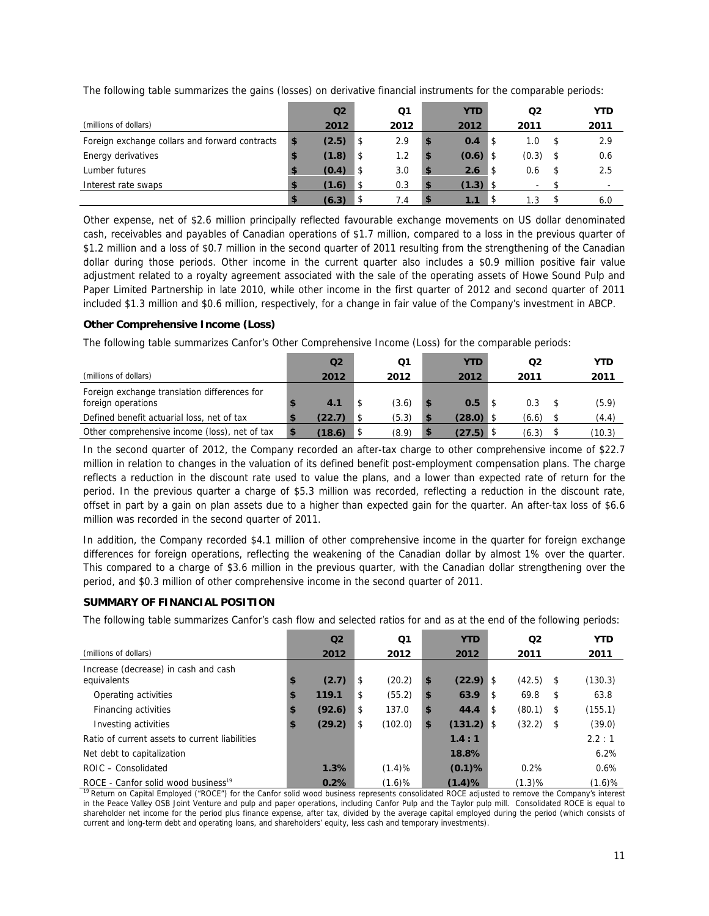|                                                |               | Q <sub>2</sub> | Q1          |      | <b>YTD</b> | O <sub>2</sub> |    | <b>YTD</b> |
|------------------------------------------------|---------------|----------------|-------------|------|------------|----------------|----|------------|
| (millions of dollars)                          |               | 2012           | 2012        |      | 2012       | 2011           |    | 2011       |
| Foreign exchange collars and forward contracts | (2.5)<br>- \$ |                | 2.9<br> \$  |      | 0.4        | 1.0            | \$ | 2.9        |
| Energy derivatives                             | (1.8)         |                | 1.2<br>l \$ | - \$ | $(0.6)$ \$ | (0.3)          | S. | 0.6        |
| Lumber futures                                 | (0.4)         |                | 3.0<br>  \$ | - 5  | 2.6        | 0.6            | S  | 2.5        |
| Interest rate swaps                            | (1.6)         |                | 0.3         |      | $(1.3)$ \$ |                |    |            |
|                                                | (6.3)         |                | -\$<br>7.4  |      | 1.1        | 1.3            | \$ | 6.0        |

The following table summarizes the gains (losses) on derivative financial instruments for the comparable periods:

Other expense, net of \$2.6 million principally reflected favourable exchange movements on US dollar denominated cash, receivables and payables of Canadian operations of \$1.7 million, compared to a loss in the previous quarter of \$1.2 million and a loss of \$0.7 million in the second quarter of 2011 resulting from the strengthening of the Canadian dollar during those periods. Other income in the current quarter also includes a \$0.9 million positive fair value adjustment related to a royalty agreement associated with the sale of the operating assets of Howe Sound Pulp and Paper Limited Partnership in late 2010, while other income in the first quarter of 2012 and second quarter of 2011 included \$1.3 million and \$0.6 million, respectively, for a change in fair value of the Company's investment in ABCP.

# **Other Comprehensive Income (Loss)**

The following table summarizes Canfor's Other Comprehensive Income (Loss) for the comparable periods:

|                                                                    | Q <sub>2</sub> | Q1    | <b>YTD</b>          | Q2    | YTD    |
|--------------------------------------------------------------------|----------------|-------|---------------------|-------|--------|
| (millions of dollars)                                              | 2012           | 2012  | 2012                | 2011  | 2011   |
| Foreign exchange translation differences for<br>foreign operations | 4.1            | (3.6) | 0.5                 | 0.3   | (5.9)  |
| Defined benefit actuarial loss, net of tax                         | (22.7)         | (5.3) | $(28.0)$ \$<br>- \$ | (6.6) | (4.4)  |
| Other comprehensive income (loss), net of tax                      | (18.6)         | (8.9) | $(27.5)$ \$         | (6.3) | (10.3) |

In the second quarter of 2012, the Company recorded an after-tax charge to other comprehensive income of \$22.7 million in relation to changes in the valuation of its defined benefit post-employment compensation plans. The charge reflects a reduction in the discount rate used to value the plans, and a lower than expected rate of return for the period. In the previous quarter a charge of \$5.3 million was recorded, reflecting a reduction in the discount rate, offset in part by a gain on plan assets due to a higher than expected gain for the quarter. An after-tax loss of \$6.6 million was recorded in the second quarter of 2011.

In addition, the Company recorded \$4.1 million of other comprehensive income in the quarter for foreign exchange differences for foreign operations, reflecting the weakening of the Canadian dollar by almost 1% over the quarter. This compared to a charge of \$3.6 million in the previous quarter, with the Canadian dollar strengthening over the period, and \$0.3 million of other comprehensive income in the second quarter of 2011.

# **SUMMARY OF FINANCIAL POSITION**

The following table summarizes Canfor's cash flow and selected ratios for and as at the end of the following periods:

|                                                     |    | Q <sub>2</sub> | Q1 |         |    | <b>YTD</b> |    | Q2     |    | <b>YTD</b> |
|-----------------------------------------------------|----|----------------|----|---------|----|------------|----|--------|----|------------|
| (millions of dollars)                               |    | 2012           |    | 2012    |    | 2012       |    | 2011   |    | 2011       |
| Increase (decrease) in cash and cash<br>equivalents | \$ | (2.7)          | \$ | (20.2)  | \$ | (22.9)     | S  | (42.5) | s. | (130.3)    |
| Operating activities                                | \$ | 119.1          | \$ | (55.2)  | \$ | 63.9       | S  | 69.8   | \$ | 63.8       |
| Financing activities                                | S  | (92.6)         | \$ | 137.0   | \$ | 44.4       | \$ | (80.1) | s. | (155.1)    |
| Investing activities                                | \$ | (29.2)         | \$ | (102.0) | \$ | (131.2)    |    | (32.2) | \$ | (39.0)     |
| Ratio of current assets to current liabilities      |    |                |    |         |    | 1.4:1      |    |        |    | 2.2:1      |
| Net debt to capitalization                          |    |                |    |         |    | 18.8%      |    |        |    | 6.2%       |
| ROIC - Consolidated                                 |    | 1.3%           |    | (1.4)%  |    | $(0.1)$ %  |    | 0.2%   |    | 0.6%       |
| ROCE - Canfor solid wood business <sup>19</sup>     |    | 0.2%           |    | (1.6)%  |    | (1.4)%     |    | (1.3)% |    | (1.6)%     |

<sup>19</sup> Return on Capital Employed ("ROCE") for the Canfor solid wood business represents consolidated ROCE adjusted to remove the Company's interest in the Peace Valley OSB Joint Venture and pulp and paper operations, including Canfor Pulp and the Taylor pulp mill. Consolidated ROCE is equal to shareholder net income for the period plus finance expense, after tax, divided by the average capital employed during the period (which consists of current and long-term debt and operating loans, and shareholders' equity, less cash and temporary investments).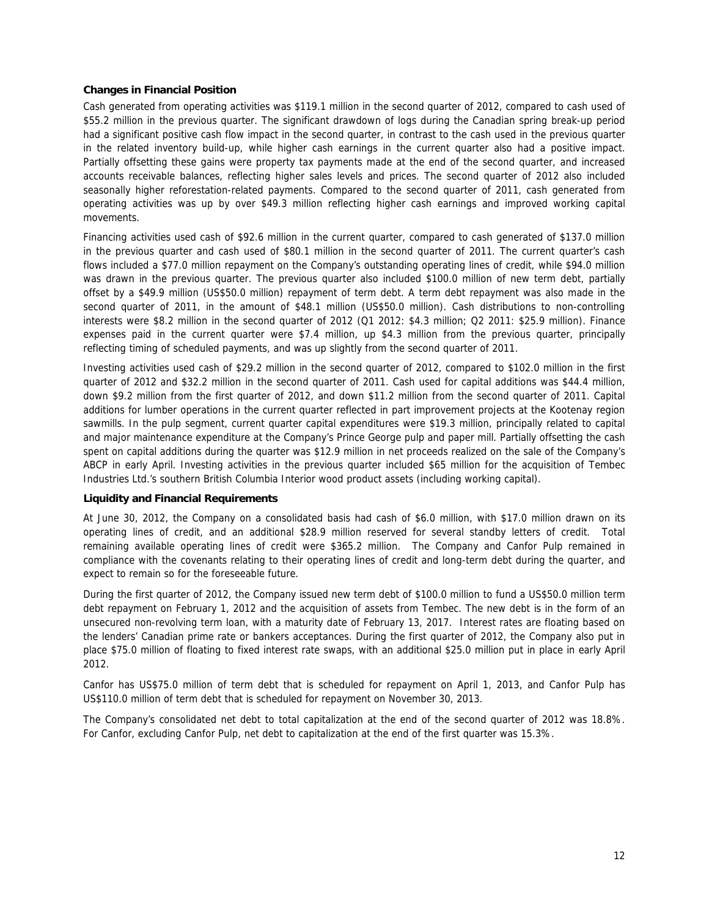#### **Changes in Financial Position**

Cash generated from operating activities was \$119.1 million in the second quarter of 2012, compared to cash used of \$55.2 million in the previous quarter. The significant drawdown of logs during the Canadian spring break-up period had a significant positive cash flow impact in the second quarter, in contrast to the cash used in the previous quarter in the related inventory build-up, while higher cash earnings in the current quarter also had a positive impact. Partially offsetting these gains were property tax payments made at the end of the second quarter, and increased accounts receivable balances, reflecting higher sales levels and prices. The second quarter of 2012 also included seasonally higher reforestation-related payments. Compared to the second quarter of 2011, cash generated from operating activities was up by over \$49.3 million reflecting higher cash earnings and improved working capital movements.

Financing activities used cash of \$92.6 million in the current quarter, compared to cash generated of \$137.0 million in the previous quarter and cash used of \$80.1 million in the second quarter of 2011. The current quarter's cash flows included a \$77.0 million repayment on the Company's outstanding operating lines of credit, while \$94.0 million was drawn in the previous quarter. The previous quarter also included \$100.0 million of new term debt, partially offset by a \$49.9 million (US\$50.0 million) repayment of term debt. A term debt repayment was also made in the second quarter of 2011, in the amount of \$48.1 million (US\$50.0 million). Cash distributions to non-controlling interests were \$8.2 million in the second quarter of 2012 (Q1 2012: \$4.3 million; Q2 2011: \$25.9 million). Finance expenses paid in the current quarter were \$7.4 million, up \$4.3 million from the previous quarter, principally reflecting timing of scheduled payments, and was up slightly from the second quarter of 2011.

Investing activities used cash of \$29.2 million in the second quarter of 2012, compared to \$102.0 million in the first quarter of 2012 and \$32.2 million in the second quarter of 2011. Cash used for capital additions was \$44.4 million, down \$9.2 million from the first quarter of 2012, and down \$11.2 million from the second quarter of 2011. Capital additions for lumber operations in the current quarter reflected in part improvement projects at the Kootenay region sawmills. In the pulp segment, current quarter capital expenditures were \$19.3 million, principally related to capital and major maintenance expenditure at the Company's Prince George pulp and paper mill. Partially offsetting the cash spent on capital additions during the quarter was \$12.9 million in net proceeds realized on the sale of the Company's ABCP in early April. Investing activities in the previous quarter included \$65 million for the acquisition of Tembec Industries Ltd.'s southern British Columbia Interior wood product assets (including working capital).

# **Liquidity and Financial Requirements**

At June 30, 2012, the Company on a consolidated basis had cash of \$6.0 million, with \$17.0 million drawn on its operating lines of credit, and an additional \$28.9 million reserved for several standby letters of credit. Total remaining available operating lines of credit were \$365.2 million. The Company and Canfor Pulp remained in compliance with the covenants relating to their operating lines of credit and long-term debt during the quarter, and expect to remain so for the foreseeable future.

During the first quarter of 2012, the Company issued new term debt of \$100.0 million to fund a US\$50.0 million term debt repayment on February 1, 2012 and the acquisition of assets from Tembec. The new debt is in the form of an unsecured non-revolving term loan, with a maturity date of February 13, 2017. Interest rates are floating based on the lenders' Canadian prime rate or bankers acceptances. During the first quarter of 2012, the Company also put in place \$75.0 million of floating to fixed interest rate swaps, with an additional \$25.0 million put in place in early April 2012.

Canfor has US\$75.0 million of term debt that is scheduled for repayment on April 1, 2013, and Canfor Pulp has US\$110.0 million of term debt that is scheduled for repayment on November 30, 2013.

The Company's consolidated net debt to total capitalization at the end of the second quarter of 2012 was 18.8%. For Canfor, excluding Canfor Pulp, net debt to capitalization at the end of the first quarter was 15.3%.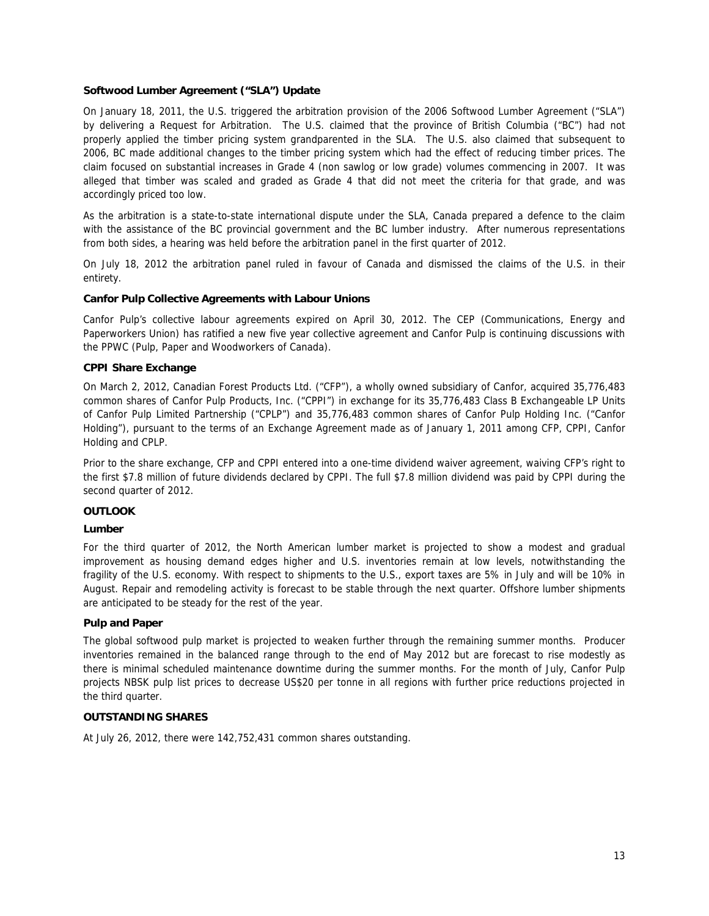#### **Softwood Lumber Agreement ("SLA") Update**

On January 18, 2011, the U.S. triggered the arbitration provision of the 2006 Softwood Lumber Agreement ("SLA") by delivering a Request for Arbitration. The U.S. claimed that the province of British Columbia ("BC") had not properly applied the timber pricing system grandparented in the SLA. The U.S. also claimed that subsequent to 2006, BC made additional changes to the timber pricing system which had the effect of reducing timber prices. The claim focused on substantial increases in Grade 4 (non sawlog or low grade) volumes commencing in 2007. It was alleged that timber was scaled and graded as Grade 4 that did not meet the criteria for that grade, and was accordingly priced too low.

As the arbitration is a state-to-state international dispute under the SLA, Canada prepared a defence to the claim with the assistance of the BC provincial government and the BC lumber industry. After numerous representations from both sides, a hearing was held before the arbitration panel in the first quarter of 2012.

On July 18, 2012 the arbitration panel ruled in favour of Canada and dismissed the claims of the U.S. in their entirety.

## **Canfor Pulp Collective Agreements with Labour Unions**

Canfor Pulp's collective labour agreements expired on April 30, 2012. The CEP (Communications, Energy and Paperworkers Union) has ratified a new five year collective agreement and Canfor Pulp is continuing discussions with the PPWC (Pulp, Paper and Woodworkers of Canada).

#### **CPPI Share Exchange**

On March 2, 2012, Canadian Forest Products Ltd. ("CFP"), a wholly owned subsidiary of Canfor, acquired 35,776,483 common shares of Canfor Pulp Products, Inc. ("CPPI") in exchange for its 35,776,483 Class B Exchangeable LP Units of Canfor Pulp Limited Partnership ("CPLP") and 35,776,483 common shares of Canfor Pulp Holding Inc. ("Canfor Holding"), pursuant to the terms of an Exchange Agreement made as of January 1, 2011 among CFP, CPPI, Canfor Holding and CPLP.

Prior to the share exchange, CFP and CPPI entered into a one-time dividend waiver agreement, waiving CFP's right to the first \$7.8 million of future dividends declared by CPPI. The full \$7.8 million dividend was paid by CPPI during the second quarter of 2012.

# **OUTLOOK**

#### **Lumber**

For the third quarter of 2012, the North American lumber market is projected to show a modest and gradual improvement as housing demand edges higher and U.S. inventories remain at low levels, notwithstanding the fragility of the U.S. economy. With respect to shipments to the U.S., export taxes are 5% in July and will be 10% in August. Repair and remodeling activity is forecast to be stable through the next quarter. Offshore lumber shipments are anticipated to be steady for the rest of the year.

#### **Pulp and Paper**

The global softwood pulp market is projected to weaken further through the remaining summer months. Producer inventories remained in the balanced range through to the end of May 2012 but are forecast to rise modestly as there is minimal scheduled maintenance downtime during the summer months. For the month of July, Canfor Pulp projects NBSK pulp list prices to decrease US\$20 per tonne in all regions with further price reductions projected in the third quarter.

#### **OUTSTANDING SHARES**

At July 26, 2012, there were 142,752,431 common shares outstanding.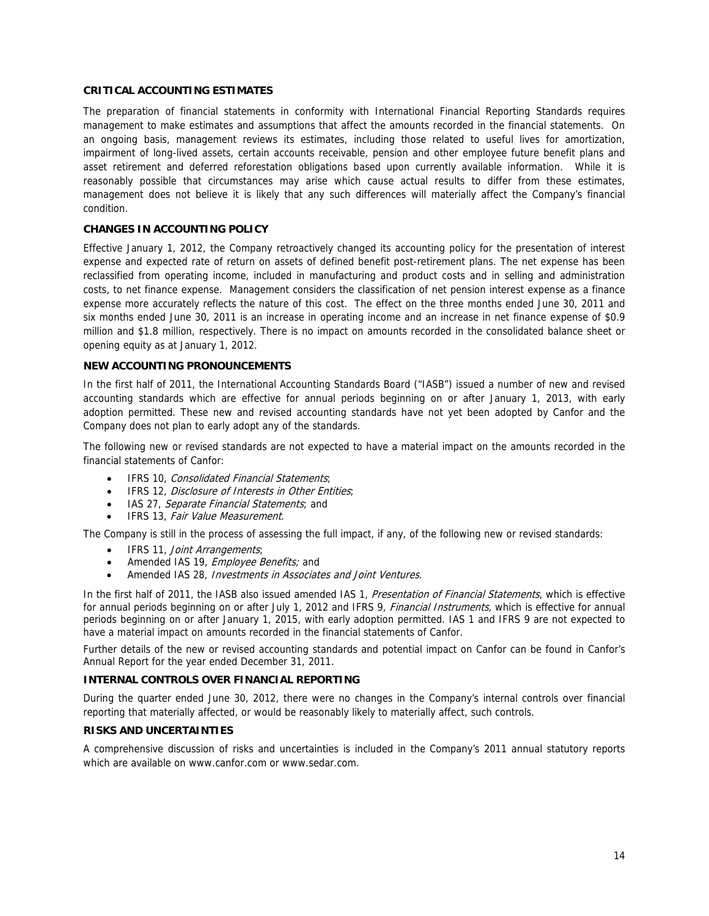#### **CRITICAL ACCOUNTING ESTIMATES**

The preparation of financial statements in conformity with International Financial Reporting Standards requires management to make estimates and assumptions that affect the amounts recorded in the financial statements. On an ongoing basis, management reviews its estimates, including those related to useful lives for amortization, impairment of long-lived assets, certain accounts receivable, pension and other employee future benefit plans and asset retirement and deferred reforestation obligations based upon currently available information. While it is reasonably possible that circumstances may arise which cause actual results to differ from these estimates, management does not believe it is likely that any such differences will materially affect the Company's financial condition.

#### **CHANGES IN ACCOUNTING POLICY**

Effective January 1, 2012, the Company retroactively changed its accounting policy for the presentation of interest expense and expected rate of return on assets of defined benefit post-retirement plans. The net expense has been reclassified from operating income, included in manufacturing and product costs and in selling and administration costs, to net finance expense. Management considers the classification of net pension interest expense as a finance expense more accurately reflects the nature of this cost. The effect on the three months ended June 30, 2011 and six months ended June 30, 2011 is an increase in operating income and an increase in net finance expense of \$0.9 million and \$1.8 million, respectively. There is no impact on amounts recorded in the consolidated balance sheet or opening equity as at January 1, 2012.

#### **NEW ACCOUNTING PRONOUNCEMENTS**

In the first half of 2011, the International Accounting Standards Board ("IASB") issued a number of new and revised accounting standards which are effective for annual periods beginning on or after January 1, 2013, with early adoption permitted. These new and revised accounting standards have not yet been adopted by Canfor and the Company does not plan to early adopt any of the standards.

The following new or revised standards are not expected to have a material impact on the amounts recorded in the financial statements of Canfor:

- IFRS 10, Consolidated Financial Statements;
- IFRS 12, Disclosure of Interests in Other Entities;
- IAS 27, Separate Financial Statements; and
- IFRS 13, Fair Value Measurement.

The Company is still in the process of assessing the full impact, if any, of the following new or revised standards:

- IFRS 11, Joint Arrangements;
- Amended IAS 19, *Employee Benefits;* and
- Amended IAS 28, Investments in Associates and Joint Ventures.

In the first half of 2011, the IASB also issued amended IAS 1, Presentation of Financial Statements, which is effective for annual periods beginning on or after July 1, 2012 and IFRS 9, Financial Instruments, which is effective for annual periods beginning on or after January 1, 2015, with early adoption permitted. IAS 1 and IFRS 9 are not expected to have a material impact on amounts recorded in the financial statements of Canfor.

Further details of the new or revised accounting standards and potential impact on Canfor can be found in Canfor's Annual Report for the year ended December 31, 2011.

#### **INTERNAL CONTROLS OVER FINANCIAL REPORTING**

During the quarter ended June 30, 2012, there were no changes in the Company's internal controls over financial reporting that materially affected, or would be reasonably likely to materially affect, such controls.

#### **RISKS AND UNCERTAINTIES**

A comprehensive discussion of risks and uncertainties is included in the Company's 2011 annual statutory reports which are available on www.canfor.com or www.sedar.com.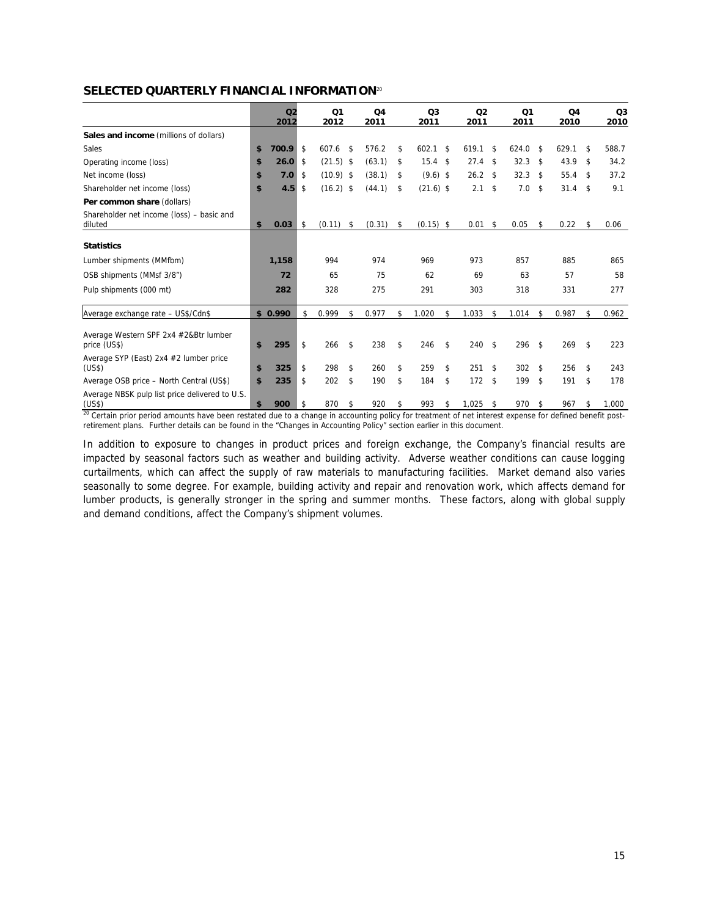# **SELECTED QUARTERLY FINANCIAL INFORMATION**<sup>20</sup>

|                                                          | Q <sub>2</sub><br>2012 |     | Q <sub>1</sub><br>2012 |                    | Q <sub>4</sub><br>2011 | Q <sub>3</sub><br>2011 |      | Q2<br>2011 | Q <sub>1</sub><br>2011 |      | Q4<br>2010 |      | Q <sub>3</sub><br>2010 |
|----------------------------------------------------------|------------------------|-----|------------------------|--------------------|------------------------|------------------------|------|------------|------------------------|------|------------|------|------------------------|
| Sales and income (millions of dollars)                   |                        |     |                        |                    |                        |                        |      |            |                        |      |            |      |                        |
| Sales                                                    | \$<br>700.9            | -\$ | 607.6                  | - \$               | 576.2                  | \$<br>$602.1$ \$       |      | 619.1      | \$<br>624.0            | -\$  | 629.1      | \$   | 588.7                  |
| Operating income (loss)                                  | \$<br>26.0             | -\$ | $(21.5)$ \$            |                    | (63.1)                 | \$<br>$15.4$ \$        |      | 27.4       | \$<br>32.3             | - \$ | 43.9       | - \$ | 34.2                   |
| Net income (loss)                                        | \$<br>7.0              | -\$ | $(10.9)$ \$            |                    | (38.1)                 | \$<br>$(9.6)$ \$       |      | $26.2$ \$  | 32.3                   | - \$ | 55.4       | -\$  | 37.2                   |
| Shareholder net income (loss)                            | \$<br>4.5              | \$  | $(16.2)$ \$            |                    | (44.1)                 | \$<br>$(21.6)$ \$      |      | 2.1        | \$<br>7.0              | - \$ | $31.4$ \$  |      | 9.1                    |
| Per common share (dollars)                               |                        |     |                        |                    |                        |                        |      |            |                        |      |            |      |                        |
| Shareholder net income (loss) – basic and<br>diluted     | \$<br>0.03             | \$  | (0.11)                 | \$                 | (0.31)                 | \$<br>$(0.15)$ \$      |      | 0.01       | \$<br>0.05             | \$   | 0.22       | \$   | 0.06                   |
| <b>Statistics</b>                                        |                        |     |                        |                    |                        |                        |      |            |                        |      |            |      |                        |
| Lumber shipments (MMfbm)                                 | 1,158                  |     | 994                    |                    | 974                    | 969                    |      | 973        | 857                    |      | 885        |      | 865                    |
| OSB shipments (MMsf 3/8")                                | 72                     |     | 65                     |                    | 75                     | 62                     |      | 69         | 63                     |      | 57         |      | 58                     |
| Pulp shipments (000 mt)                                  | 282                    |     | 328                    |                    | 275                    | 291                    |      | 303        | 318                    |      | 331        |      | 277                    |
| Average exchange rate - US\$/Cdn\$                       | \$0.990                | \$  | 0.999                  | \$                 | 0.977                  | \$<br>1.020            | \$   | 1.033      | \$<br>1.014            | \$   | 0.987      | \$   | 0.962                  |
| Average Western SPF 2x4 #2&Btr lumber<br>price (US\$)    | \$<br>295              | \$  | 266                    | $\mathbf{\hat{S}}$ | 238                    | \$<br>246              | - \$ | 240        | \$<br>296              | - \$ | 269        | -S   | 223                    |
| Average SYP (East) 2x4 #2 lumber price<br>(US\$)         | \$<br>325              | \$  | 298                    | Ŝ.                 | 260                    | \$<br>259              | \$   | 251        | \$<br>302              | -\$  | 256        | \$   | 243                    |
| Average OSB price - North Central (US\$)                 | \$<br>235              | \$  | 202                    | \$                 | 190                    | \$<br>184              | \$   | 172        | \$<br>199              | -\$  | 191        | \$   | 178                    |
| Average NBSK pulp list price delivered to U.S.<br>(US\$) | \$<br>900              | -S  | 870                    | \$                 | 920                    | \$<br>993              | \$   | 1.025      | \$<br>970              | -\$  | 967        | \$   | 1.000                  |

<sup>20</sup> Certain prior period amounts have been restated due to a change in accounting policy for treatment of net interest expense for defined benefit postretirement plans. Further details can be found in the "Changes in Accounting Policy" section earlier in this document.

In addition to exposure to changes in product prices and foreign exchange, the Company's financial results are impacted by seasonal factors such as weather and building activity. Adverse weather conditions can cause logging curtailments, which can affect the supply of raw materials to manufacturing facilities. Market demand also varies seasonally to some degree. For example, building activity and repair and renovation work, which affects demand for lumber products, is generally stronger in the spring and summer months. These factors, along with global supply and demand conditions, affect the Company's shipment volumes.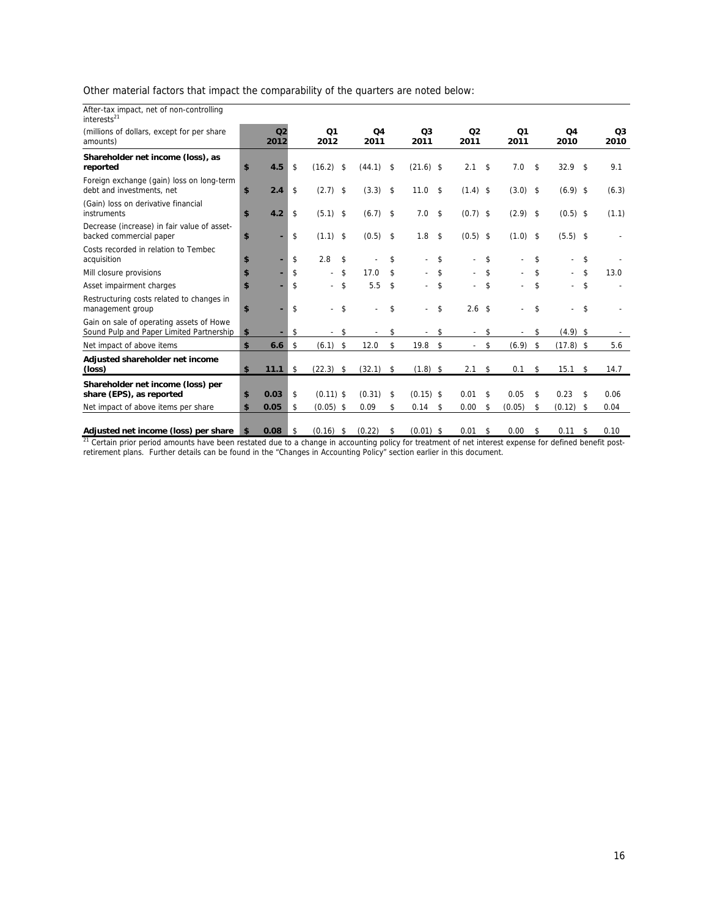Other material factors that impact the comparability of the quarters are noted below:

| After-tax impact, net of non-controlling<br>interests <sup>21</sup>                  |                        |               |                          |                    |            |                        |               |                 |              |                        |     |                          |               |            |
|--------------------------------------------------------------------------------------|------------------------|---------------|--------------------------|--------------------|------------|------------------------|---------------|-----------------|--------------|------------------------|-----|--------------------------|---------------|------------|
| (millions of dollars, except for per share<br>amounts)                               | Q <sub>2</sub><br>2012 |               | Q <sub>1</sub><br>2012   |                    | Q4<br>2011 | Q <sub>3</sub><br>2011 |               | Q2<br>2011      |              | Q <sub>1</sub><br>2011 |     | Q4<br>2010               |               | Q3<br>2010 |
| Shareholder net income (loss), as<br>reported                                        | \$<br>4.5              | <sup>\$</sup> | $(16.2)$ \$              |                    | (44.1)     | \$<br>$(21.6)$ \$      |               | 2.1             | \$           | 7.0                    | -\$ | 32.9                     | <sup>\$</sup> | 9.1        |
| Foreign exchange (gain) loss on long-term<br>debt and investments, net               | \$<br>2.4              | \$            | $(2.7)$ \$               |                    | $(3.3)$ \$ | $11.0$ \$              |               | $(1.4)$ \$      |              | $(3.0)$ \$             |     | $(6.9)$ \$               |               | (6.3)      |
| (Gain) loss on derivative financial<br>instruments                                   | \$<br>4.2              | \$            | $(5.1)$ \$               |                    | $(6.7)$ \$ | 7.0                    | $\mathsf{\$}$ | $(0.7)$ \$      |              | $(2.9)$ \$             |     | $(0.5)$ \$               |               | (1.1)      |
| Decrease (increase) in fair value of asset-<br>backed commercial paper               | \$                     | \$            | $(1.1)$ \$               |                    | $(0.5)$ \$ | 1.8                    | \$            | $(0.5)$ \$      |              | $(1.0)$ \$             |     | $(5.5)$ \$               |               |            |
| Costs recorded in relation to Tembec<br>acquisition                                  | \$                     | \$            | 2.8                      | \$                 |            | \$                     | \$            |                 | \$           |                        | \$  | $\overline{\phantom{0}}$ | \$            |            |
| Mill closure provisions                                                              | \$                     | \$            |                          | $\mathbf{\hat{S}}$ | 17.0       | \$                     | \$            |                 | \$           |                        | \$  | $\overline{\phantom{0}}$ | \$            | 13.0       |
| Asset impairment charges                                                             | \$                     | \$            | $\overline{\phantom{a}}$ | <sup>\$</sup>      | 5.5        | \$                     | \$            |                 | \$           |                        | \$  | $\overline{\phantom{a}}$ | \$            |            |
| Restructuring costs related to changes in<br>management group                        | \$                     | \$            | $\overline{a}$           | $\mathbf{s}$       |            | \$<br>$\overline{a}$   | \$            | 2.6             | $\mathbf{s}$ |                        | \$  |                          | \$            |            |
| Gain on sale of operating assets of Howe<br>Sound Pulp and Paper Limited Partnership | \$                     | \$            |                          | $\mathbf{\hat{S}}$ |            | \$                     | \$            | $\sim$ 10 $\pm$ | \$           |                        | \$  | $(4.9)$ \$               |               |            |
| Net impact of above items                                                            | \$<br>6.6              | \$            | (6.1)                    | \$                 | 12.0       | \$<br>19.8             | \$            |                 | \$           | (6.9)                  | -\$ | $(17.8)$ \$              |               | 5.6        |
| Adjusted shareholder net income<br>(loss)                                            | \$<br>11.1             | ls.           | $(22.3)$ \$              |                    | (32.1)     | \$<br>$(1.8)$ \$       |               | 2.1             | \$           | 0.1                    | \$  | 15.1                     | - \$          | 14.7       |
| Shareholder net income (loss) per<br>share (EPS), as reported                        | \$<br>0.03             | \$            | $(0.11)$ \$              |                    | (0.31)     | \$<br>$(0.15)$ \$      |               | 0.01            | \$           | 0.05                   | \$  | 0.23                     | Ŝ.            | 0.06       |
| Net impact of above items per share                                                  | \$<br>0.05             | \$            | $(0.05)$ \$              |                    | 0.09       | \$<br>$0.14$ \$        |               | 0.00            | \$           | (0.05)                 | \$  | $(0.12)$ \$              |               | 0.04       |
|                                                                                      |                        |               |                          |                    |            |                        |               |                 |              |                        |     |                          |               |            |

Adjusted net income (loss) per share 5 0.08 \$ (0.16) \$ (0.22) \$ (0.01) \$ 0.01 \$ 0.00 \$ 0.11 \$ 0.10<br><sup>21</sup> Certain prior period amounts have been restated due to a change in accounting policy for treatment of net interest exp retirement plans. Further details can be found in the "Changes in Accounting Policy" section earlier in this document.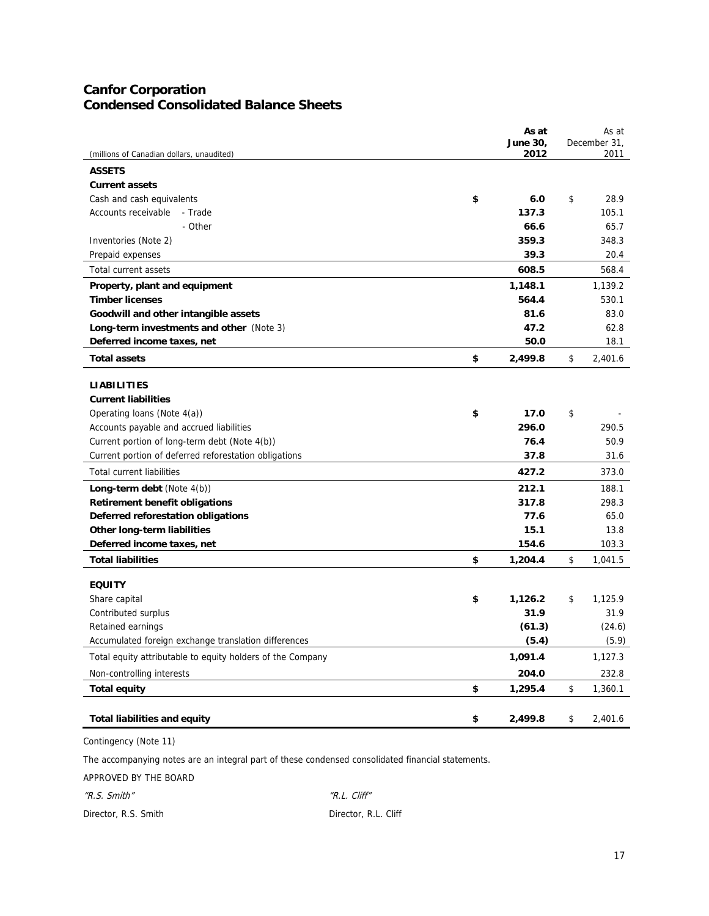# **Canfor Corporation Condensed Consolidated Balance Sheets**

|                                                            | As at<br>June 30, | As at<br>December 31, |
|------------------------------------------------------------|-------------------|-----------------------|
| (millions of Canadian dollars, unaudited)                  | 2012              | 2011                  |
| <b>ASSETS</b>                                              |                   |                       |
| <b>Current assets</b>                                      |                   |                       |
| Cash and cash equivalents                                  | \$<br>6.0         | \$<br>28.9            |
| - Trade<br>Accounts receivable                             | 137.3             | 105.1                 |
| - Other                                                    | 66.6              | 65.7                  |
| Inventories (Note 2)                                       | 359.3             | 348.3                 |
| Prepaid expenses                                           | 39.3              | 20.4                  |
| Total current assets                                       | 608.5             | 568.4                 |
| Property, plant and equipment                              | 1,148.1           | 1,139.2               |
| <b>Timber licenses</b>                                     | 564.4             | 530.1                 |
| Goodwill and other intangible assets                       | 81.6              | 83.0                  |
| Long-term investments and other (Note 3)                   | 47.2              | 62.8                  |
| Deferred income taxes, net                                 | 50.0              | 18.1                  |
| <b>Total assets</b>                                        | \$<br>2,499.8     | \$<br>2,401.6         |
| <b>LIABILITIES</b>                                         |                   |                       |
| <b>Current liabilities</b>                                 |                   |                       |
| Operating loans (Note 4(a))                                | \$<br>17.0        | \$                    |
| Accounts payable and accrued liabilities                   | 296.0             | 290.5                 |
| Current portion of long-term debt (Note 4(b))              | 76.4              | 50.9                  |
| Current portion of deferred reforestation obligations      | 37.8              | 31.6                  |
| <b>Total current liabilities</b>                           | 427.2             | 373.0                 |
| <b>Long-term debt</b> (Note $4(b)$ )                       | 212.1             | 188.1                 |
| <b>Retirement benefit obligations</b>                      | 317.8             | 298.3                 |
| Deferred reforestation obligations                         | 77.6              | 65.0                  |
| Other long-term liabilities                                | 15.1              | 13.8                  |
| Deferred income taxes, net                                 | 154.6             | 103.3                 |
| <b>Total liabilities</b>                                   | \$<br>1,204.4     | \$<br>1,041.5         |
| <b>EQUITY</b>                                              |                   |                       |
| Share capital                                              | \$<br>1,126.2     | \$<br>1,125.9         |
| Contributed surplus                                        | 31.9              | 31.9                  |
| Retained earnings                                          | (61.3)            | (24.6)                |
| Accumulated foreign exchange translation differences       | (5.4)             | (5.9)                 |
| Total equity attributable to equity holders of the Company | 1,091.4           | 1,127.3               |
| Non-controlling interests                                  | 204.0             | 232.8                 |
| <b>Total equity</b>                                        | \$<br>1,295.4     | \$<br>1,360.1         |
| <b>Total liabilities and equity</b>                        | \$<br>2,499.8     | \$<br>2,401.6         |
|                                                            |                   |                       |

Contingency (Note 11)

The accompanying notes are an integral part of these condensed consolidated financial statements.

APPROVED BY THE BOARD

"R.S. Smith" "R.L. Cliff"

Director, R.S. Smith Director, R.L. Cliff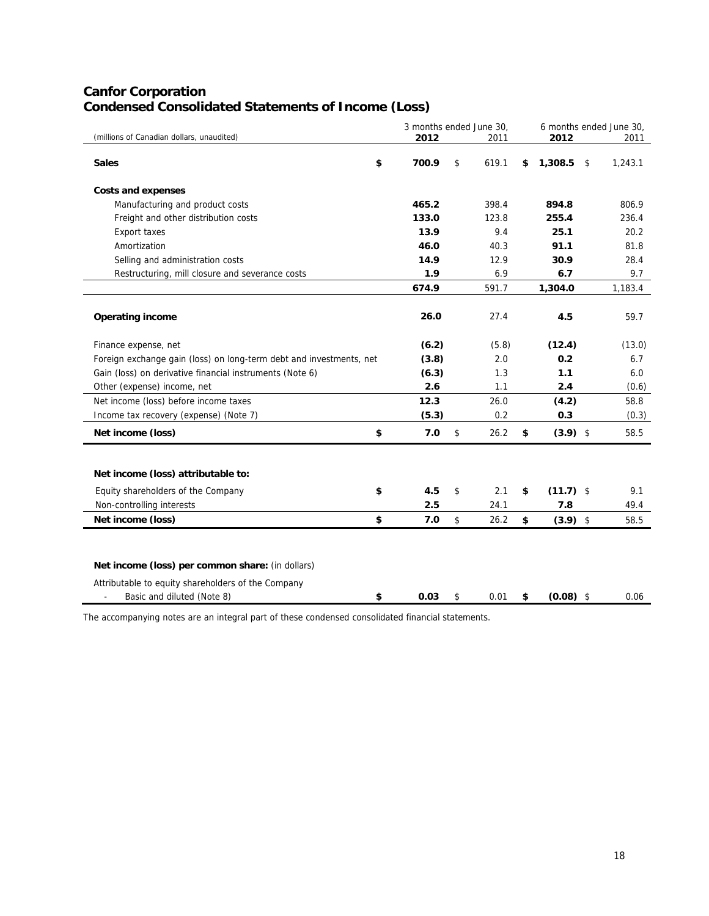# **Canfor Corporation Condensed Consolidated Statements of Income (Loss)**

| (millions of Canadian dollars, unaudited)                           | 2012          | 3 months ended June 30,<br>2011 | 2012               | 6 months ended June 30, |               |  |
|---------------------------------------------------------------------|---------------|---------------------------------|--------------------|-------------------------|---------------|--|
| \$<br><b>Sales</b>                                                  | 700.9         | \$<br>619.1                     | \$<br>$1,308.5$ \$ |                         | 1,243.1       |  |
|                                                                     |               |                                 |                    |                         |               |  |
| <b>Costs and expenses</b>                                           |               |                                 |                    |                         |               |  |
| Manufacturing and product costs                                     | 465.2         | 398.4                           | 894.8              |                         | 806.9         |  |
| Freight and other distribution costs                                | 133.0<br>13.9 | 123.8<br>9.4                    | 255.4              |                         | 236.4<br>20.2 |  |
| Export taxes<br>Amortization                                        | 46.0          |                                 | 25.1<br>91.1       |                         | 81.8          |  |
|                                                                     | 14.9          | 40.3                            |                    |                         | 28.4          |  |
| Selling and administration costs                                    | 1.9           | 12.9<br>6.9                     | 30.9<br>6.7        |                         | 9.7           |  |
| Restructuring, mill closure and severance costs                     | 674.9         |                                 |                    |                         |               |  |
|                                                                     |               | 591.7                           | 1,304.0            |                         | 1,183.4       |  |
| <b>Operating income</b>                                             | 26.0          | 27.4                            | 4.5                |                         | 59.7          |  |
| Finance expense, net                                                | (6.2)         | (5.8)                           | (12.4)             |                         | (13.0)        |  |
| Foreign exchange gain (loss) on long-term debt and investments, net | (3.8)         | 2.0                             | 0.2                |                         | 6.7           |  |
| Gain (loss) on derivative financial instruments (Note 6)            | (6.3)         | 1.3                             | 1.1                |                         | 6.0           |  |
| Other (expense) income, net                                         | 2.6           | 1.1                             | 2.4                |                         | (0.6)         |  |
| Net income (loss) before income taxes                               | 12.3          | 26.0                            | (4.2)              |                         | 58.8          |  |
| Income tax recovery (expense) (Note 7)                              | (5.3)         | 0.2                             | 0.3                |                         | (0.3)         |  |
| \$<br>Net income (loss)                                             | 7.0           | \$<br>26.2                      | \$<br>$(3.9)$ \$   |                         | 58.5          |  |
|                                                                     |               |                                 |                    |                         |               |  |
| Net income (loss) attributable to:                                  |               |                                 |                    |                         |               |  |
| \$<br>Equity shareholders of the Company                            | 4.5           | \$<br>2.1                       | \$<br>$(11.7)$ \$  |                         | 9.1           |  |
| Non-controlling interests                                           | 2.5           | 24.1                            | 7.8                |                         | 49.4          |  |
| \$<br>Net income (loss)                                             | 7.0           | \$<br>26.2                      | \$<br>$(3.9)$ \$   |                         | 58.5          |  |
|                                                                     |               |                                 |                    |                         |               |  |
| Net income (loss) per common share: (in dollars)                    |               |                                 |                    |                         |               |  |
| Attributable to equity shareholders of the Company                  |               |                                 |                    |                         |               |  |
| Basic and diluted (Note 8)<br>\$                                    | 0.03          | \$<br>0.01                      | \$<br>$(0.08)$ \$  |                         | 0.06          |  |

The accompanying notes are an integral part of these condensed consolidated financial statements.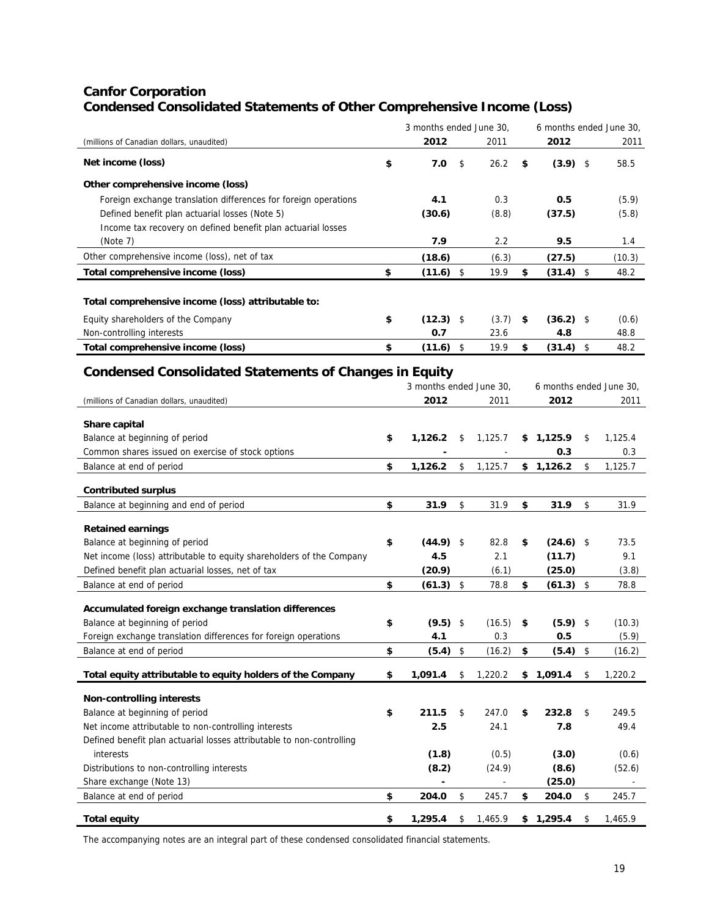# **Canfor Corporation Condensed Consolidated Statements of Other Comprehensive Income (Loss)**

|                                                                                                                           | 3 months ended June 30, |    |             |                         | 6 months ended June 30, |             |
|---------------------------------------------------------------------------------------------------------------------------|-------------------------|----|-------------|-------------------------|-------------------------|-------------|
| (millions of Canadian dollars, unaudited)                                                                                 | 2012                    |    | 2011        | 2012                    |                         | 2011        |
| Net income (loss)                                                                                                         | \$<br>7.0               | \$ | 26.2        | \$<br>$(3.9)$ \$        |                         | 58.5        |
| Other comprehensive income (loss)                                                                                         |                         |    |             |                         |                         |             |
| Foreign exchange translation differences for foreign operations                                                           | 4.1                     |    | 0.3         | 0.5                     |                         | (5.9)       |
| Defined benefit plan actuarial losses (Note 5)                                                                            | (30.6)                  |    | (8.8)       | (37.5)                  |                         | (5.8)       |
| Income tax recovery on defined benefit plan actuarial losses                                                              |                         |    |             |                         |                         |             |
| (Note 7)                                                                                                                  | 7.9                     |    | 2.2         | 9.5                     |                         | 1.4         |
| Other comprehensive income (loss), net of tax                                                                             | (18.6)                  |    | (6.3)       | (27.5)                  |                         | (10.3)      |
| Total comprehensive income (loss)                                                                                         | \$<br>(11.6)            | \$ | 19.9        | \$<br>$(31.4)$ \$       |                         | 48.2        |
|                                                                                                                           |                         |    |             |                         |                         |             |
| Total comprehensive income (loss) attributable to:                                                                        |                         |    |             |                         |                         |             |
| Equity shareholders of the Company                                                                                        | \$<br>(12.3)            | \$ | (3.7)       | \$<br>$(36.2)$ \$       |                         | (0.6)       |
| Non-controlling interests                                                                                                 | 0.7                     |    | 23.6        | 4.8                     |                         | 48.8        |
| Total comprehensive income (loss)                                                                                         | \$<br>(11.6)            | \$ | 19.9        | \$<br>$(31.4)$ \$       |                         | 48.2        |
|                                                                                                                           |                         |    |             |                         |                         |             |
| <b>Condensed Consolidated Statements of Changes in Equity</b>                                                             | 3 months ended June 30, |    |             | 6 months ended June 30, |                         |             |
| (millions of Canadian dollars, unaudited)                                                                                 | 2012                    |    | 2011        | 2012                    |                         | 2011        |
|                                                                                                                           |                         |    |             |                         |                         |             |
| Share capital                                                                                                             |                         |    |             |                         |                         |             |
| Balance at beginning of period                                                                                            | \$<br>1,126.2           | \$ | 1,125.7     | \$1,125.9               | \$                      | 1,125.4     |
| Common shares issued on exercise of stock options                                                                         |                         |    |             | 0.3                     |                         | 0.3         |
| Balance at end of period                                                                                                  | \$<br>1,126.2           | \$ | 1,125.7     | \$1,126.2               | \$                      | 1,125.7     |
| <b>Contributed surplus</b>                                                                                                |                         |    |             |                         |                         |             |
| Balance at beginning and end of period                                                                                    | \$<br>31.9              | \$ | 31.9        | \$<br>31.9              | \$                      | 31.9        |
|                                                                                                                           |                         |    |             |                         |                         |             |
| <b>Retained earnings</b>                                                                                                  |                         |    |             |                         |                         |             |
| Balance at beginning of period                                                                                            | \$<br>(44.9)<br>4.5     | \$ | 82.8<br>2.1 | \$<br>$(24.6)$ \$       |                         | 73.5<br>9.1 |
| Net income (loss) attributable to equity shareholders of the Company<br>Defined benefit plan actuarial losses, net of tax | (20.9)                  |    | (6.1)       | (11.7)<br>(25.0)        |                         | (3.8)       |
| Balance at end of period                                                                                                  | \$<br>(61.3)            | \$ | 78.8        | \$<br>$(61.3)$ \$       |                         | 78.8        |
|                                                                                                                           |                         |    |             |                         |                         |             |
| Accumulated foreign exchange translation differences                                                                      |                         |    |             |                         |                         |             |
| Balance at beginning of period                                                                                            | \$<br>$(9.5)$ \$        |    | (16.5)      | \$<br>(5.9)             | - \$                    | (10.3)      |
| Foreign exchange translation differences for foreign operations                                                           | 4.1                     |    | 0.3         | 0.5                     |                         | (5.9)       |
| Balance at end of period                                                                                                  | \$<br>$(5.4)$ \$        |    | (16.2)      | \$<br>(5.4)             | $\sqrt{ }$              | (16.2)      |
| Total equity attributable to equity holders of the Company                                                                | \$<br>1,091.4           | \$ | 1,220.2     | \$1,091.4               | \$                      | 1,220.2     |
|                                                                                                                           |                         |    |             |                         |                         |             |
| <b>Non-controlling interests</b><br>Balance at beginning of period                                                        | \$<br>211.5             | \$ | 247.0       | \$<br>232.8             | \$                      | 249.5       |
| Net income attributable to non-controlling interests                                                                      | 2.5                     |    | 24.1        | 7.8                     |                         | 49.4        |
| Defined benefit plan actuarial losses attributable to non-controlling                                                     |                         |    |             |                         |                         |             |
| interests                                                                                                                 | (1.8)                   |    | (0.5)       | (3.0)                   |                         | (0.6)       |
| Distributions to non-controlling interests                                                                                | (8.2)                   |    | (24.9)      | (8.6)                   |                         | (52.6)      |
| Share exchange (Note 13)                                                                                                  |                         |    |             | (25.0)                  |                         |             |
| Balance at end of period                                                                                                  | \$<br>204.0             | \$ | 245.7       | \$<br>204.0             | \$                      | 245.7       |
|                                                                                                                           |                         |    |             |                         |                         |             |
| <b>Total equity</b>                                                                                                       | \$<br>$1,295.4$ \$      |    |             | 1,465.9 \$ 1,295.4 \$   |                         | 1,465.9     |

The accompanying notes are an integral part of these condensed consolidated financial statements.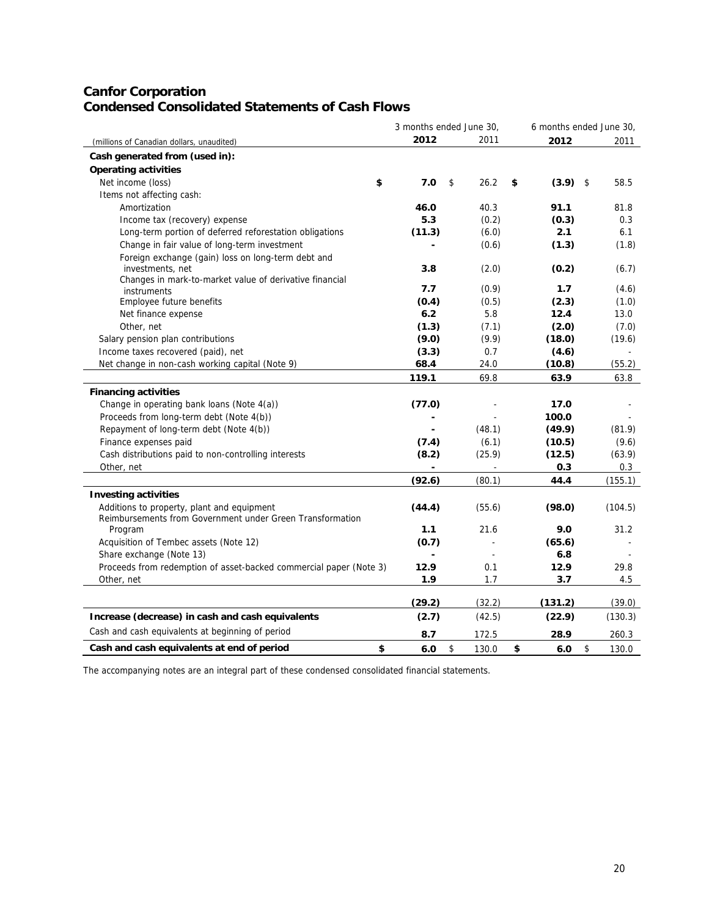# **Canfor Corporation Condensed Consolidated Statements of Cash Flows**

|                                                                    |                | 3 months ended June 30, |             | 6 months ended June 30, |
|--------------------------------------------------------------------|----------------|-------------------------|-------------|-------------------------|
| (millions of Canadian dollars, unaudited)                          | 2012           | 2011                    | 2012        | 2011                    |
| Cash generated from (used in):                                     |                |                         |             |                         |
| <b>Operating activities</b>                                        |                |                         |             |                         |
| \$<br>Net income (loss)                                            | 7.0            | 26.2<br>\$              | (3.9)<br>\$ | 58.5<br>- \$            |
| Items not affecting cash:                                          |                |                         |             |                         |
| Amortization                                                       | 46.0           | 40.3                    | 91.1        | 81.8                    |
| Income tax (recovery) expense                                      | 5.3            | (0.2)                   | (0.3)       | 0.3                     |
| Long-term portion of deferred reforestation obligations            | (11.3)         | (6.0)                   | 2.1         | 6.1                     |
| Change in fair value of long-term investment                       |                | (0.6)                   | (1.3)       | (1.8)                   |
| Foreign exchange (gain) loss on long-term debt and                 |                |                         |             |                         |
| investments, net                                                   | 3.8            | (2.0)                   | (0.2)       | (6.7)                   |
| Changes in mark-to-market value of derivative financial            |                |                         |             |                         |
| instruments                                                        | 7.7            | (0.9)                   | 1.7         | (4.6)                   |
| Employee future benefits                                           | (0.4)          | (0.5)                   | (2.3)       | (1.0)                   |
| Net finance expense                                                | 6.2            | 5.8                     | 12.4        | 13.0                    |
| Other, net                                                         | (1.3)          | (7.1)                   | (2.0)       | (7.0)                   |
| Salary pension plan contributions                                  | (9.0)          | (9.9)                   | (18.0)      | (19.6)                  |
| Income taxes recovered (paid), net                                 | (3.3)          | 0.7                     | (4.6)       |                         |
| Net change in non-cash working capital (Note 9)                    | 68.4           | 24.0                    | (10.8)      | (55.2)                  |
|                                                                    | 119.1          | 69.8                    | 63.9        | 63.8                    |
| <b>Financing activities</b>                                        |                |                         |             |                         |
| Change in operating bank loans (Note 4(a))                         | (77.0)         |                         | 17.0        |                         |
| Proceeds from long-term debt (Note 4(b))                           |                |                         | 100.0       |                         |
| Repayment of long-term debt (Note 4(b))                            | $\blacksquare$ | (48.1)                  | (49.9)      | (81.9)                  |
| Finance expenses paid                                              | (7.4)          | (6.1)                   | (10.5)      | (9.6)                   |
| Cash distributions paid to non-controlling interests               | (8.2)          | (25.9)                  | (12.5)      | (63.9)                  |
| Other, net                                                         |                |                         | 0.3         | 0.3                     |
|                                                                    | (92.6)         | (80.1)                  | 44.4        | (155.1)                 |
| <b>Investing activities</b>                                        |                |                         |             |                         |
| Additions to property, plant and equipment                         | (44.4)         | (55.6)                  | (98.0)      | (104.5)                 |
| Reimbursements from Government under Green Transformation          |                |                         |             |                         |
| Program                                                            | 1.1            | 21.6                    | 9.0         | 31.2                    |
| Acquisition of Tembec assets (Note 12)                             | (0.7)          | $\overline{a}$          | (65.6)      |                         |
| Share exchange (Note 13)                                           |                |                         | 6.8         |                         |
| Proceeds from redemption of asset-backed commercial paper (Note 3) | 12.9           | 0.1                     | 12.9        | 29.8                    |
| Other, net                                                         | 1.9            | 1.7                     | 3.7         | 4.5                     |
|                                                                    |                |                         |             |                         |
|                                                                    | (29.2)         | (32.2)                  | (131.2)     | (39.0)                  |
| Increase (decrease) in cash and cash equivalents                   | (2.7)          | (42.5)                  | (22.9)      | (130.3)                 |
| Cash and cash equivalents at beginning of period                   | 8.7            | 172.5                   | 28.9        | 260.3                   |
| Cash and cash equivalents at end of period<br>\$                   | 6.0            | \$<br>130.0             | \$<br>6.0   | \$<br>130.0             |

The accompanying notes are an integral part of these condensed consolidated financial statements.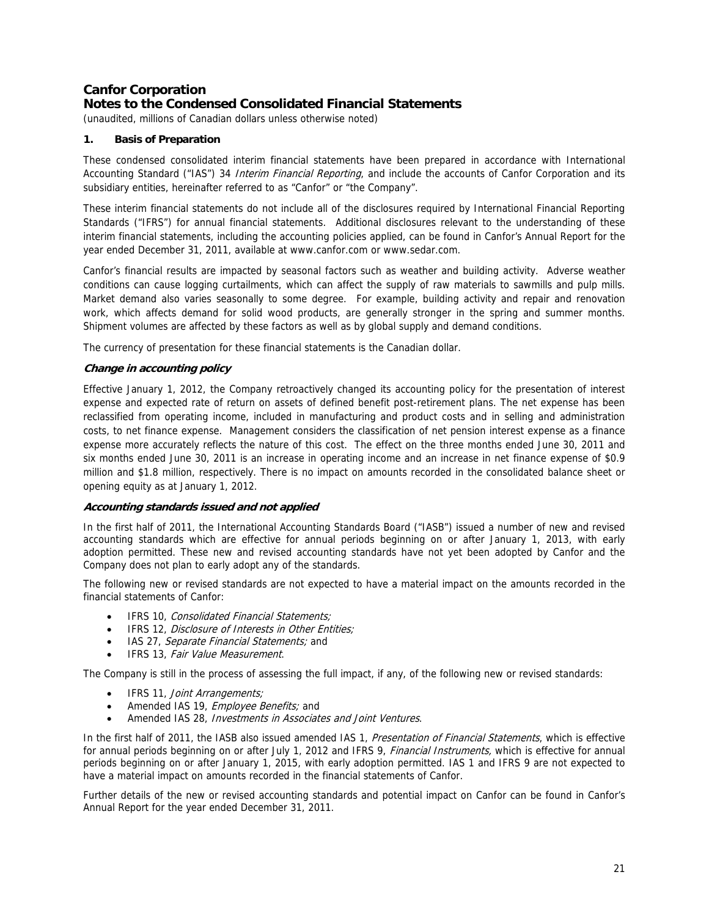# **Canfor Corporation Notes to the Condensed Consolidated Financial Statements**

(unaudited, millions of Canadian dollars unless otherwise noted)

# **1. Basis of Preparation**

These condensed consolidated interim financial statements have been prepared in accordance with International Accounting Standard ("IAS") 34 *Interim Financial Reporting*, and include the accounts of Canfor Corporation and its subsidiary entities, hereinafter referred to as "Canfor" or "the Company".

These interim financial statements do not include all of the disclosures required by International Financial Reporting Standards ("IFRS") for annual financial statements. Additional disclosures relevant to the understanding of these interim financial statements, including the accounting policies applied, can be found in Canfor's Annual Report for the year ended December 31, 2011, available at www.canfor.com or www.sedar.com.

Canfor's financial results are impacted by seasonal factors such as weather and building activity. Adverse weather conditions can cause logging curtailments, which can affect the supply of raw materials to sawmills and pulp mills. Market demand also varies seasonally to some degree. For example, building activity and repair and renovation work, which affects demand for solid wood products, are generally stronger in the spring and summer months. Shipment volumes are affected by these factors as well as by global supply and demand conditions.

The currency of presentation for these financial statements is the Canadian dollar.

# **Change in accounting policy**

Effective January 1, 2012, the Company retroactively changed its accounting policy for the presentation of interest expense and expected rate of return on assets of defined benefit post-retirement plans. The net expense has been reclassified from operating income, included in manufacturing and product costs and in selling and administration costs, to net finance expense. Management considers the classification of net pension interest expense as a finance expense more accurately reflects the nature of this cost. The effect on the three months ended June 30, 2011 and six months ended June 30, 2011 is an increase in operating income and an increase in net finance expense of \$0.9 million and \$1.8 million, respectively. There is no impact on amounts recorded in the consolidated balance sheet or opening equity as at January 1, 2012.

# **Accounting standards issued and not applied**

In the first half of 2011, the International Accounting Standards Board ("IASB") issued a number of new and revised accounting standards which are effective for annual periods beginning on or after January 1, 2013, with early adoption permitted. These new and revised accounting standards have not yet been adopted by Canfor and the Company does not plan to early adopt any of the standards.

The following new or revised standards are not expected to have a material impact on the amounts recorded in the financial statements of Canfor:

- IFRS 10, Consolidated Financial Statements;
- IFRS 12, Disclosure of Interests in Other Entities;
- IAS 27, Separate Financial Statements; and
- IFRS 13, Fair Value Measurement.

The Company is still in the process of assessing the full impact, if any, of the following new or revised standards:

- IFRS 11, Joint Arrangements;
- Amended IAS 19, *Employee Benefits;* and
- Amended IAS 28, Investments in Associates and Joint Ventures.

In the first half of 2011, the IASB also issued amended IAS 1, Presentation of Financial Statements, which is effective for annual periods beginning on or after July 1, 2012 and IFRS 9, Financial Instruments, which is effective for annual periods beginning on or after January 1, 2015, with early adoption permitted. IAS 1 and IFRS 9 are not expected to have a material impact on amounts recorded in the financial statements of Canfor.

Further details of the new or revised accounting standards and potential impact on Canfor can be found in Canfor's Annual Report for the year ended December 31, 2011.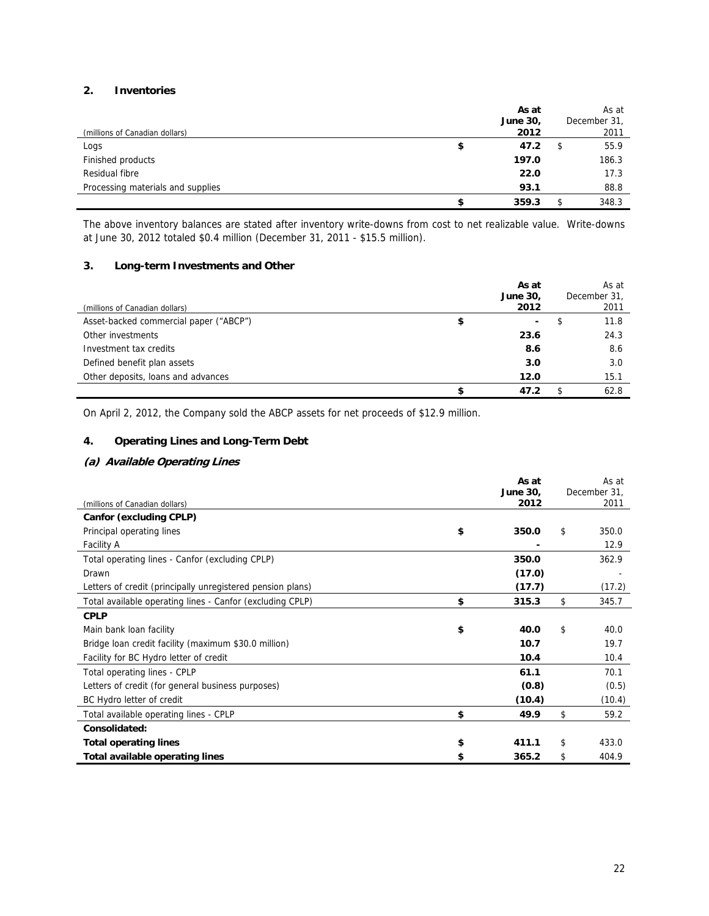# **2. Inventories**

|                                   | As at       | As at        |
|-----------------------------------|-------------|--------------|
|                                   | June 30,    | December 31, |
| (millions of Canadian dollars)    | 2012        | 2011         |
| Logs                              | \$<br>47.2  | \$<br>55.9   |
| Finished products                 | 197.0       | 186.3        |
| Residual fibre                    | 22.0        | 17.3         |
| Processing materials and supplies | 93.1        | 88.8         |
|                                   | \$<br>359.3 | 348.3        |

The above inventory balances are stated after inventory write-downs from cost to net realizable value. Write-downs at June 30, 2012 totaled \$0.4 million (December 31, 2011 - \$15.5 million).

## **3. Long-term Investments and Other**

|                                        |    | As at<br>June 30, | As at<br>December 31, |
|----------------------------------------|----|-------------------|-----------------------|
| (millions of Canadian dollars)         |    | 2012              | 2011                  |
| Asset-backed commercial paper ("ABCP") | \$ | ٠                 | 11.8                  |
| Other investments                      |    | 23.6              | 24.3                  |
| Investment tax credits                 |    | 8.6               | 8.6                   |
| Defined benefit plan assets            |    | 3.0               | 3.0                   |
| Other deposits, loans and advances     |    | 12.0              | 15.1                  |
|                                        | S  | 47.2              | 62.8                  |

On April 2, 2012, the Company sold the ABCP assets for net proceeds of \$12.9 million.

# **4. Operating Lines and Long-Term Debt**

# **(a) Available Operating Lines**

|                                                            | As at       | As at        |
|------------------------------------------------------------|-------------|--------------|
|                                                            | June 30,    | December 31, |
| (millions of Canadian dollars)                             | 2012        | 2011         |
| Canfor (excluding CPLP)                                    |             |              |
| Principal operating lines                                  | \$<br>350.0 | \$<br>350.0  |
| <b>Facility A</b>                                          |             | 12.9         |
| Total operating lines - Canfor (excluding CPLP)            | 350.0       | 362.9        |
| Drawn                                                      | (17.0)      |              |
| Letters of credit (principally unregistered pension plans) | (17.7)      | (17.2)       |
| Total available operating lines - Canfor (excluding CPLP)  | \$<br>315.3 | \$<br>345.7  |
| <b>CPLP</b>                                                |             |              |
| Main bank loan facility                                    | \$<br>40.0  | \$<br>40.0   |
| Bridge loan credit facility (maximum \$30.0 million)       | 10.7        | 19.7         |
| Facility for BC Hydro letter of credit                     | 10.4        | 10.4         |
| Total operating lines - CPLP                               | 61.1        | 70.1         |
| Letters of credit (for general business purposes)          | (0.8)       | (0.5)        |
| BC Hydro letter of credit                                  | (10.4)      | (10.4)       |
| Total available operating lines - CPLP                     | \$<br>49.9  | \$<br>59.2   |
| Consolidated:                                              |             |              |
| <b>Total operating lines</b>                               | \$<br>411.1 | \$<br>433.0  |
| Total available operating lines                            | \$<br>365.2 | \$<br>404.9  |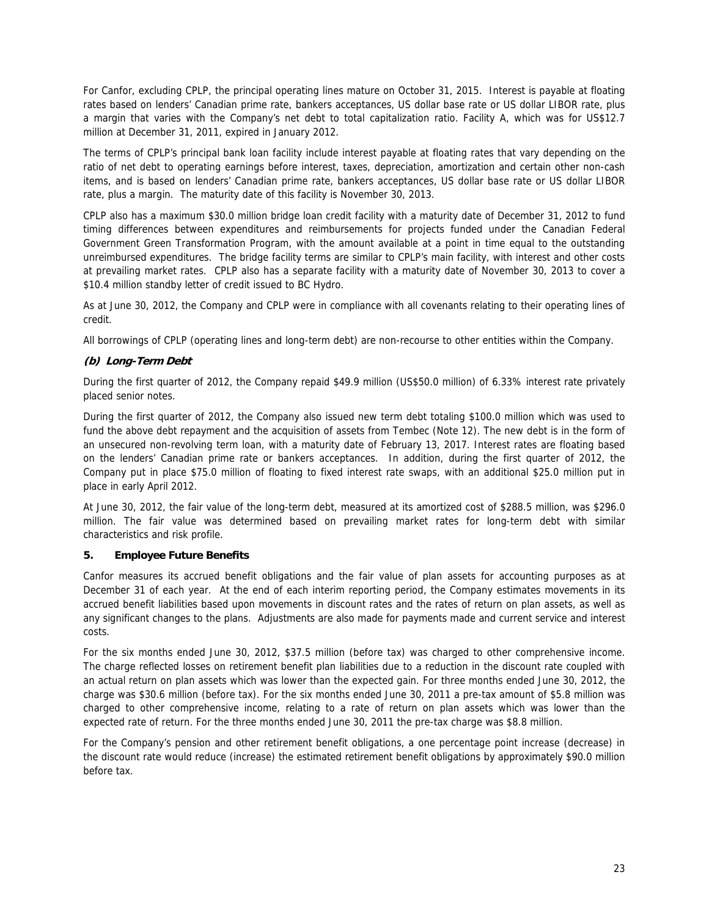For Canfor, excluding CPLP, the principal operating lines mature on October 31, 2015. Interest is payable at floating rates based on lenders' Canadian prime rate, bankers acceptances, US dollar base rate or US dollar LIBOR rate, plus a margin that varies with the Company's net debt to total capitalization ratio. Facility A, which was for US\$12.7 million at December 31, 2011, expired in January 2012.

The terms of CPLP's principal bank loan facility include interest payable at floating rates that vary depending on the ratio of net debt to operating earnings before interest, taxes, depreciation, amortization and certain other non-cash items, and is based on lenders' Canadian prime rate, bankers acceptances, US dollar base rate or US dollar LIBOR rate, plus a margin. The maturity date of this facility is November 30, 2013.

CPLP also has a maximum \$30.0 million bridge loan credit facility with a maturity date of December 31, 2012 to fund timing differences between expenditures and reimbursements for projects funded under the Canadian Federal Government Green Transformation Program, with the amount available at a point in time equal to the outstanding unreimbursed expenditures. The bridge facility terms are similar to CPLP's main facility, with interest and other costs at prevailing market rates. CPLP also has a separate facility with a maturity date of November 30, 2013 to cover a \$10.4 million standby letter of credit issued to BC Hydro.

As at June 30, 2012, the Company and CPLP were in compliance with all covenants relating to their operating lines of credit.

All borrowings of CPLP (operating lines and long-term debt) are non-recourse to other entities within the Company.

# **(b) Long-Term Debt**

During the first quarter of 2012, the Company repaid \$49.9 million (US\$50.0 million) of 6.33% interest rate privately placed senior notes.

During the first quarter of 2012, the Company also issued new term debt totaling \$100.0 million which was used to fund the above debt repayment and the acquisition of assets from Tembec (Note 12). The new debt is in the form of an unsecured non-revolving term loan, with a maturity date of February 13, 2017. Interest rates are floating based on the lenders' Canadian prime rate or bankers acceptances. In addition, during the first quarter of 2012, the Company put in place \$75.0 million of floating to fixed interest rate swaps, with an additional \$25.0 million put in place in early April 2012.

At June 30, 2012, the fair value of the long-term debt, measured at its amortized cost of \$288.5 million, was \$296.0 million. The fair value was determined based on prevailing market rates for long-term debt with similar characteristics and risk profile.

# **5. Employee Future Benefits**

Canfor measures its accrued benefit obligations and the fair value of plan assets for accounting purposes as at December 31 of each year. At the end of each interim reporting period, the Company estimates movements in its accrued benefit liabilities based upon movements in discount rates and the rates of return on plan assets, as well as any significant changes to the plans. Adjustments are also made for payments made and current service and interest costs.

For the six months ended June 30, 2012, \$37.5 million (before tax) was charged to other comprehensive income. The charge reflected losses on retirement benefit plan liabilities due to a reduction in the discount rate coupled with an actual return on plan assets which was lower than the expected gain. For three months ended June 30, 2012, the charge was \$30.6 million (before tax). For the six months ended June 30, 2011 a pre-tax amount of \$5.8 million was charged to other comprehensive income, relating to a rate of return on plan assets which was lower than the expected rate of return. For the three months ended June 30, 2011 the pre-tax charge was \$8.8 million.

For the Company's pension and other retirement benefit obligations, a one percentage point increase (decrease) in the discount rate would reduce (increase) the estimated retirement benefit obligations by approximately \$90.0 million before tax.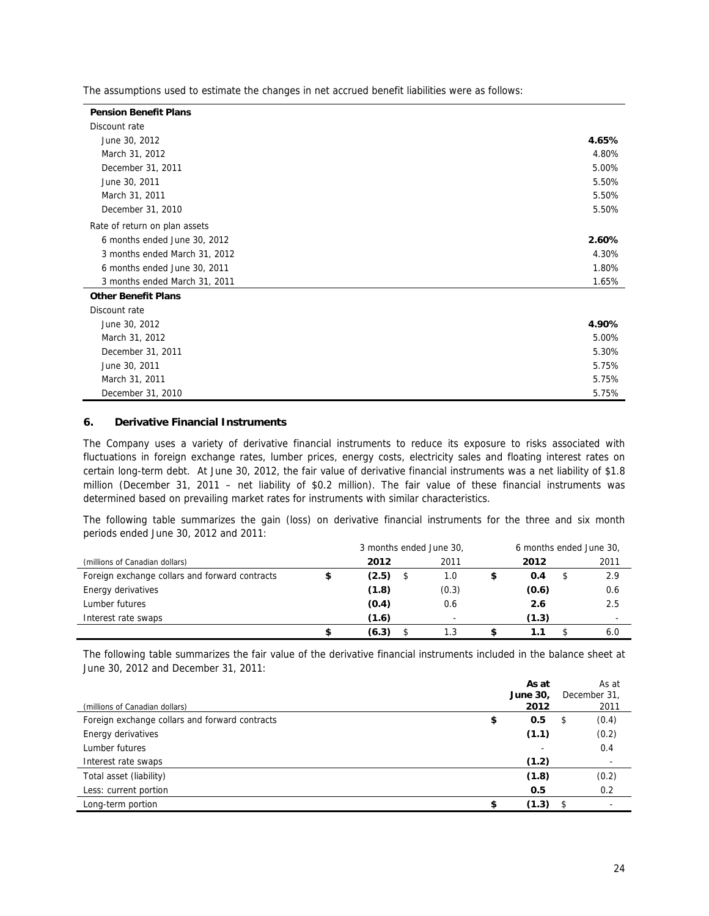The assumptions used to estimate the changes in net accrued benefit liabilities were as follows:

| <b>Pension Benefit Plans</b>  |       |
|-------------------------------|-------|
| Discount rate                 |       |
| June 30, 2012                 | 4.65% |
| March 31, 2012                | 4.80% |
| December 31, 2011             | 5.00% |
| June 30, 2011                 | 5.50% |
| March 31, 2011                | 5.50% |
| December 31, 2010             | 5.50% |
| Rate of return on plan assets |       |
| 6 months ended June 30, 2012  | 2.60% |
| 3 months ended March 31, 2012 | 4.30% |
| 6 months ended June 30, 2011  | 1.80% |
| 3 months ended March 31, 2011 | 1.65% |
| <b>Other Benefit Plans</b>    |       |
| Discount rate                 |       |
| June 30, 2012                 | 4.90% |
| March 31, 2012                | 5.00% |
| December 31, 2011             | 5.30% |
| June 30, 2011                 | 5.75% |
| March 31, 2011                | 5.75% |
| December 31, 2010             | 5.75% |

#### **6. Derivative Financial Instruments**

The Company uses a variety of derivative financial instruments to reduce its exposure to risks associated with fluctuations in foreign exchange rates, lumber prices, energy costs, electricity sales and floating interest rates on certain long-term debt. At June 30, 2012, the fair value of derivative financial instruments was a net liability of \$1.8 million (December 31, 2011 – net liability of \$0.2 million). The fair value of these financial instruments was determined based on prevailing market rates for instruments with similar characteristics.

The following table summarizes the gain (loss) on derivative financial instruments for the three and six month periods ended June 30, 2012 and 2011:

|                                                |       | 3 months ended June 30, | 6 months ended June 30, |      |  |  |
|------------------------------------------------|-------|-------------------------|-------------------------|------|--|--|
| (millions of Canadian dollars)                 | 2012  | 2011                    | 2012                    | 2011 |  |  |
| Foreign exchange collars and forward contracts | (2.5) | 1.0                     | 0.4                     | 2.9  |  |  |
| Energy derivatives                             | (1.8) | (0.3)                   | (0.6)                   | 0.6  |  |  |
| Lumber futures                                 | (0.4) | 0.6                     | 2.6                     | 2.5  |  |  |
| Interest rate swaps                            | (1.6) |                         | (1.3)                   |      |  |  |
|                                                | (6.3) | 1.3                     | 1.1                     | 6.0  |  |  |

The following table summarizes the fair value of the derivative financial instruments included in the balance sheet at June 30, 2012 and December 31, 2011:

|                                                | As at       |    | As at        |
|------------------------------------------------|-------------|----|--------------|
|                                                | June 30,    |    | December 31, |
| (millions of Canadian dollars)                 | 2012        |    | 2011         |
| Foreign exchange collars and forward contracts | \$<br>0.5   | \$ | (0.4)        |
| Energy derivatives                             | (1.1)       |    | (0.2)        |
| Lumber futures                                 |             |    | 0.4          |
| Interest rate swaps                            | (1.2)       |    |              |
| Total asset (liability)                        | (1.8)       |    | (0.2)        |
| Less: current portion                          | 0.5         |    | 0.2          |
| Long-term portion                              | \$<br>(1.3) | S  |              |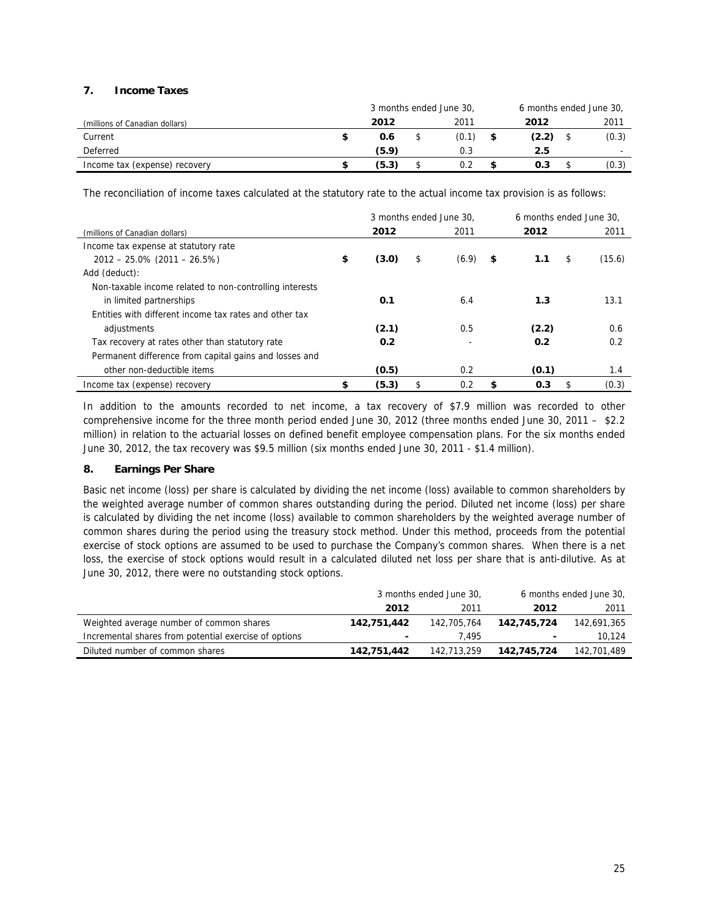# **7. Income Taxes**

|                                | 3 months ended June 30, |  |       |  |       | 6 months ended June 30, |       |  |  |  |
|--------------------------------|-------------------------|--|-------|--|-------|-------------------------|-------|--|--|--|
| (millions of Canadian dollars) | 2012                    |  | 2011  |  | 2012  |                         | 2011  |  |  |  |
| Current                        | 0.6                     |  | (0.1) |  | (2.2) |                         | (0.3) |  |  |  |
| Deferred                       | (5.9)                   |  | 0.3   |  | 2.5   |                         |       |  |  |  |
| Income tax (expense) recovery  | (5.3)                   |  | 0.2   |  | 0.3   |                         | (0.3) |  |  |  |

The reconciliation of income taxes calculated at the statutory rate to the actual income tax provision is as follows:

|                                                         | 3 months ended June 30. |    |       |    | 6 months ended June 30. |    |        |  |
|---------------------------------------------------------|-------------------------|----|-------|----|-------------------------|----|--------|--|
| (millions of Canadian dollars)                          | 2012                    |    | 2011  |    | 2012                    |    | 2011   |  |
| Income tax expense at statutory rate                    |                         |    |       |    |                         |    |        |  |
| $2012 - 25.0\%$ (2011 - 26.5%)                          | \$<br>(3.0)             | \$ | (6.9) | \$ | 1.1                     | \$ | (15.6) |  |
| Add (deduct):                                           |                         |    |       |    |                         |    |        |  |
| Non-taxable income related to non-controlling interests |                         |    |       |    |                         |    |        |  |
| in limited partnerships                                 | 0.1                     |    | 6.4   |    | 1.3                     |    | 13.1   |  |
| Entities with different income tax rates and other tax  |                         |    |       |    |                         |    |        |  |
| adjustments                                             | (2.1)                   |    | 0.5   |    | (2.2)                   |    | 0.6    |  |
| Tax recovery at rates other than statutory rate         | 0.2                     |    |       |    | 0.2                     |    | 0.2    |  |
| Permanent difference from capital gains and losses and  |                         |    |       |    |                         |    |        |  |
| other non-deductible items                              | (0.5)                   |    | 0.2   |    | (0.1)                   |    | 1.4    |  |
| Income tax (expense) recovery                           | \$<br>(5.3)             | \$ | 0.2   | \$ | 0.3                     | \$ | (0.3)  |  |

In addition to the amounts recorded to net income, a tax recovery of \$7.9 million was recorded to other comprehensive income for the three month period ended June 30, 2012 (three months ended June 30, 2011 – \$2.2 million) in relation to the actuarial losses on defined benefit employee compensation plans. For the six months ended June 30, 2012, the tax recovery was \$9.5 million (six months ended June 30, 2011 - \$1.4 million).

#### **8. Earnings Per Share**

Basic net income (loss) per share is calculated by dividing the net income (loss) available to common shareholders by the weighted average number of common shares outstanding during the period. Diluted net income (loss) per share is calculated by dividing the net income (loss) available to common shareholders by the weighted average number of common shares during the period using the treasury stock method. Under this method, proceeds from the potential exercise of stock options are assumed to be used to purchase the Company's common shares. When there is a net loss, the exercise of stock options would result in a calculated diluted net loss per share that is anti-dilutive. As at June 30, 2012, there were no outstanding stock options.

|                                                       |             | 3 months ended June 30, | 6 months ended June 30, |             |  |
|-------------------------------------------------------|-------------|-------------------------|-------------------------|-------------|--|
|                                                       | 2012        | 2011                    | 2012                    | 2011        |  |
| Weighted average number of common shares              | 142.751.442 | 142,705,764             | 142.745.724             | 142,691,365 |  |
| Incremental shares from potential exercise of options | ٠           | 7.495                   | $\blacksquare$          | 10.124      |  |
| Diluted number of common shares                       | 142,751,442 | 142.713.259             | 142,745,724             | 142,701,489 |  |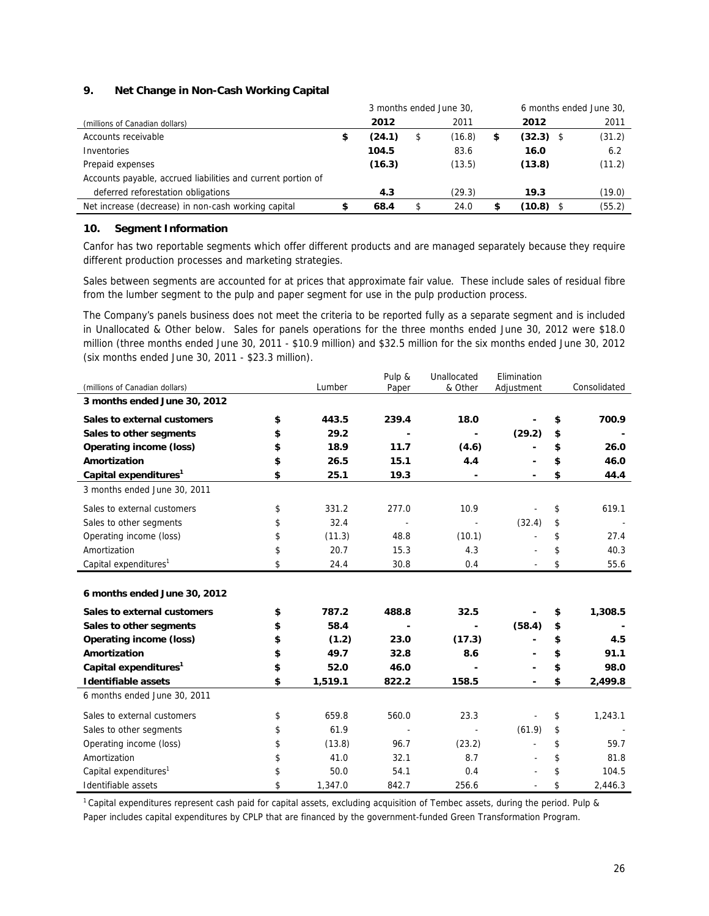## **9. Net Change in Non-Cash Working Capital**

|                                                              |    | 3 months ended June 30. |    |        | 6 months ended June 30. |        |  |
|--------------------------------------------------------------|----|-------------------------|----|--------|-------------------------|--------|--|
| (millions of Canadian dollars)                               |    | 2012                    |    | 2011   | 2012                    | 2011   |  |
| Accounts receivable                                          | \$ | (24.1)                  | \$ | (16.8) | \$<br>$(32.3)$ \$       | (31.2) |  |
| Inventories                                                  |    | 104.5                   |    | 83.6   | 16.0                    | 6.2    |  |
| Prepaid expenses                                             |    | (16.3)                  |    | (13.5) | (13.8)                  | (11.2) |  |
| Accounts payable, accrued liabilities and current portion of |    |                         |    |        |                         |        |  |
| deferred reforestation obligations                           |    | 4.3                     |    | (29.3) | 19.3                    | (19.0) |  |
| Net increase (decrease) in non-cash working capital          | S  | 68.4                    | \$ | 24.0   | \$<br>(10.8)            | (55.2) |  |

#### **10. Segment Information**

Canfor has two reportable segments which offer different products and are managed separately because they require different production processes and marketing strategies.

Sales between segments are accounted for at prices that approximate fair value. These include sales of residual fibre from the lumber segment to the pulp and paper segment for use in the pulp production process.

The Company's panels business does not meet the criteria to be reported fully as a separate segment and is included in Unallocated & Other below. Sales for panels operations for the three months ended June 30, 2012 were \$18.0 million (three months ended June 30, 2011 - \$10.9 million) and \$32.5 million for the six months ended June 30, 2012 (six months ended June 30, 2011 - \$23.3 million).

| (millions of Canadian dollars)    | Lumber        | Pulp &<br>Paper | Unallocated<br>& Other | Elimination<br>Adjustment | Consolidated  |
|-----------------------------------|---------------|-----------------|------------------------|---------------------------|---------------|
| 3 months ended June 30, 2012      |               |                 |                        |                           |               |
| Sales to external customers       | \$<br>443.5   | 239.4           | 18.0                   |                           | \$<br>700.9   |
| Sales to other segments           | \$<br>29.2    |                 |                        | (29.2)                    | \$            |
| Operating income (loss)           | \$<br>18.9    | 11.7            | (4.6)                  |                           | \$<br>26.0    |
| Amortization                      | \$<br>26.5    | 15.1            | 4.4                    |                           | \$<br>46.0    |
| Capital expenditures <sup>1</sup> | \$<br>25.1    | 19.3            |                        |                           | \$<br>44.4    |
| 3 months ended June 30, 2011      |               |                 |                        |                           |               |
| Sales to external customers       | \$<br>331.2   | 277.0           | 10.9                   |                           | \$<br>619.1   |
| Sales to other segments           | \$<br>32.4    |                 |                        | (32.4)                    | \$            |
| Operating income (loss)           | \$<br>(11.3)  | 48.8            | (10.1)                 |                           | \$<br>27.4    |
| Amortization                      | \$<br>20.7    | 15.3            | 4.3                    |                           | \$<br>40.3    |
| Capital expenditures <sup>1</sup> | \$<br>24.4    | 30.8            | 0.4                    |                           | \$<br>55.6    |
| 6 months ended June 30, 2012      |               |                 |                        |                           |               |
| Sales to external customers       | \$<br>787.2   | 488.8           | 32.5                   |                           | \$<br>1,308.5 |
| Sales to other segments           | \$<br>58.4    |                 |                        | (58.4)                    | \$            |
| Operating income (loss)           | \$<br>(1.2)   | 23.0            | (17.3)                 |                           | \$<br>4.5     |
| Amortization                      | \$<br>49.7    | 32.8            | 8.6                    |                           | \$<br>91.1    |
| Capital expenditures <sup>1</sup> | \$<br>52.0    | 46.0            |                        |                           | \$<br>98.0    |
| <b>Identifiable assets</b>        | \$<br>1,519.1 | 822.2           | 158.5                  |                           | \$<br>2,499.8 |
| 6 months ended June 30, 2011      |               |                 |                        |                           |               |
| Sales to external customers       | \$<br>659.8   | 560.0           | 23.3                   |                           | \$<br>1,243.1 |
| Sales to other segments           | \$<br>61.9    |                 |                        | (61.9)                    | \$            |
| Operating income (loss)           | \$<br>(13.8)  | 96.7            | (23.2)                 |                           | \$<br>59.7    |
| Amortization                      | \$<br>41.0    | 32.1            | 8.7                    |                           | \$<br>81.8    |
| Capital expenditures <sup>1</sup> | \$<br>50.0    | 54.1            | 0.4                    |                           | \$<br>104.5   |
| Identifiable assets               | \$<br>1,347.0 | 842.7           | 256.6                  |                           | \$<br>2,446.3 |

 $1$  Capital expenditures represent cash paid for capital assets, excluding acquisition of Tembec assets, during the period. Pulp & Paper includes capital expenditures by CPLP that are financed by the government-funded Green Transformation Program.